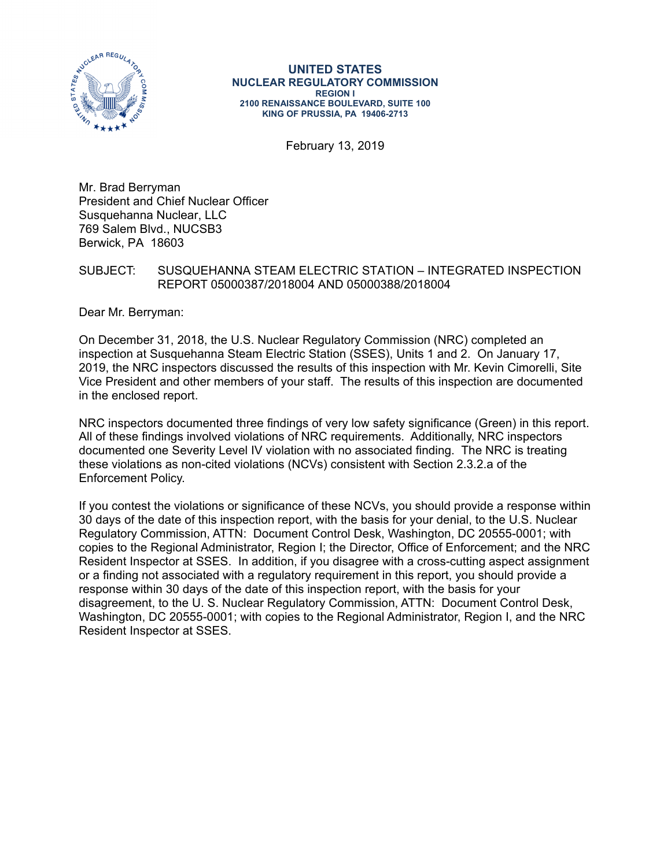

#### **UNITED STATES NUCLEAR REGULATORY COMMISSION REGION I 2100 RENAISSANCE BOULEVARD, SUITE 100 KING OF PRUSSIA, PA 19406-2713**

February 13, 2019

Mr. Brad Berryman President and Chief Nuclear Officer Susquehanna Nuclear, LLC 769 Salem Blvd., NUCSB3 Berwick, PA 18603

# SUBJECT: SUSQUEHANNA STEAM ELECTRIC STATION – INTEGRATED INSPECTION REPORT 05000387/2018004 AND 05000388/2018004

Dear Mr. Berryman:

On December 31, 2018, the U.S. Nuclear Regulatory Commission (NRC) completed an inspection at Susquehanna Steam Electric Station (SSES), Units 1 and 2. On January 17, 2019, the NRC inspectors discussed the results of this inspection with Mr. Kevin Cimorelli, Site Vice President and other members of your staff. The results of this inspection are documented in the enclosed report.

NRC inspectors documented three findings of very low safety significance (Green) in this report. All of these findings involved violations of NRC requirements. Additionally, NRC inspectors documented one Severity Level IV violation with no associated finding. The NRC is treating these violations as non-cited violations (NCVs) consistent with Section 2.3.2.a of the Enforcement Policy.

If you contest the violations or significance of these NCVs, you should provide a response within 30 days of the date of this inspection report, with the basis for your denial, to the U.S. Nuclear Regulatory Commission, ATTN: Document Control Desk, Washington, DC 20555-0001; with copies to the Regional Administrator, Region I; the Director, Office of Enforcement; and the NRC Resident Inspector at SSES. In addition, if you disagree with a cross-cutting aspect assignment or a finding not associated with a regulatory requirement in this report, you should provide a response within 30 days of the date of this inspection report, with the basis for your disagreement, to the U. S. Nuclear Regulatory Commission, ATTN: Document Control Desk, Washington, DC 20555-0001; with copies to the Regional Administrator, Region I, and the NRC Resident Inspector at SSES.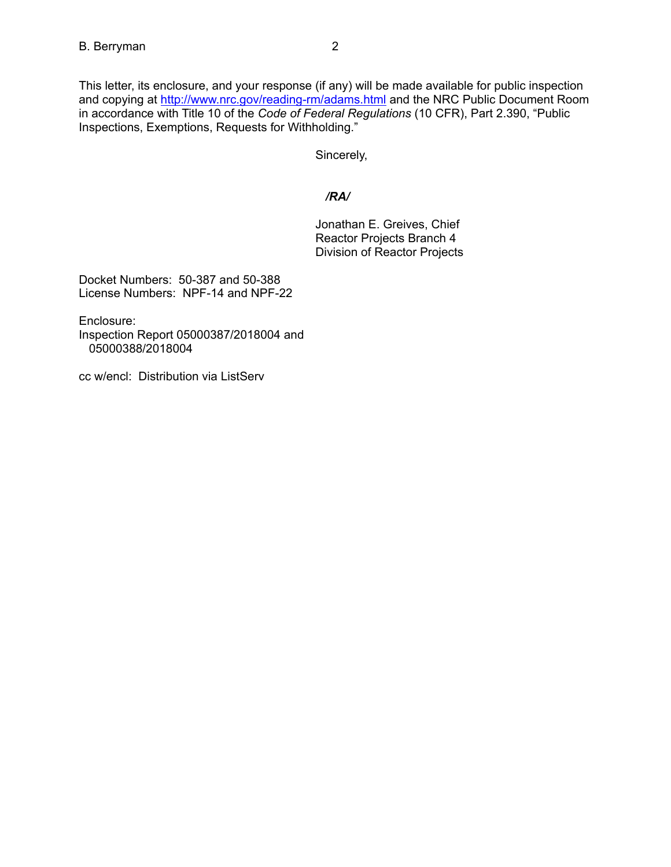This letter, its enclosure, and your response (if any) will be made available for public inspection and copying at http://www.nrc.gov/reading-rm/adams.html and the NRC Public Document Room in accordance with Title 10 of the *Code of Federal Regulations* (10 CFR), Part 2.390, "Public Inspections, Exemptions, Requests for Withholding."

Sincerely,

# */RA/*

Jonathan E. Greives, Chief Reactor Projects Branch 4 Division of Reactor Projects

Docket Numbers: 50-387 and 50-388 License Numbers: NPF-14 and NPF-22

Enclosure: Inspection Report 05000387/2018004 and 05000388/2018004

cc w/encl: Distribution via ListServ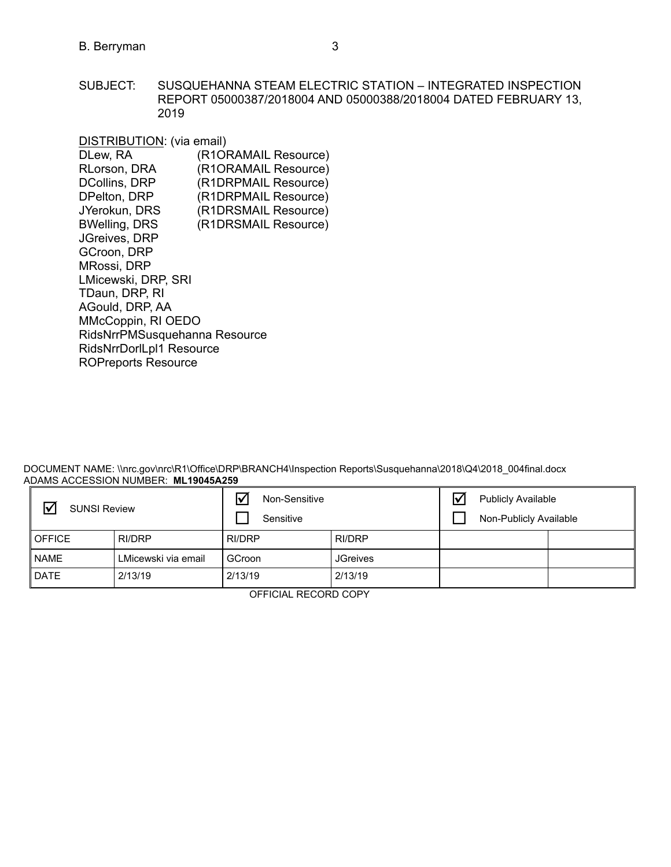SUBJECT: SUSQUEHANNA STEAM ELECTRIC STATION – INTEGRATED INSPECTION REPORT 05000387/2018004 AND 05000388/2018004 DATED FEBRUARY 13, 2019

| DISTRIBUTION: (via email)     |                      |
|-------------------------------|----------------------|
| DLew, RA                      | (R1ORAMAIL Resource) |
| RLorson, DRA                  | (R1ORAMAIL Resource) |
| <b>DCollins, DRP</b>          | (R1DRPMAIL Resource) |
| DPelton, DRP                  | (R1DRPMAIL Resource) |
| JYerokun, DRS                 | (R1DRSMAIL Resource) |
| <b>BWelling, DRS</b>          | (R1DRSMAIL Resource) |
| JGreives, DRP                 |                      |
| GCroon, DRP                   |                      |
| MRossi, DRP                   |                      |
| LMicewski, DRP, SRI           |                      |
| TDaun, DRP, RI                |                      |
| AGould, DRP, AA               |                      |
| MMcCoppin, RI OEDO            |                      |
| RidsNrrPMSusquehanna Resource |                      |
| RidsNrrDorlLpl1 Resource      |                      |
| <b>ROPreports Resource</b>    |                      |

DOCUMENT NAME: \\nrc.gov\nrc\R1\Office\DRP\BRANCH4\Inspection Reports\Susquehanna\2018\Q4\2018\_004final.docx ADAMS ACCESSION NUMBER: **ML19045A259**

| $\triangledown$<br><b>SUNSI Review</b> |                     | $\overline{\mathbf{v}}$<br>Non-Sensitive<br>Sensitive |                 | <b>Publicly Available</b><br>Non-Publicly Available |  |
|----------------------------------------|---------------------|-------------------------------------------------------|-----------------|-----------------------------------------------------|--|
| <b>I</b> OFFICE                        | RI/DRP              | RI/DRP                                                | RI/DRP          |                                                     |  |
| <b>NAME</b>                            | LMicewski via email | GCroon                                                | <b>JGreives</b> |                                                     |  |
| <b>DATE</b>                            | 2/13/19             | 2/13/19                                               | 2/13/19         |                                                     |  |

OFFICIAL RECORD COPY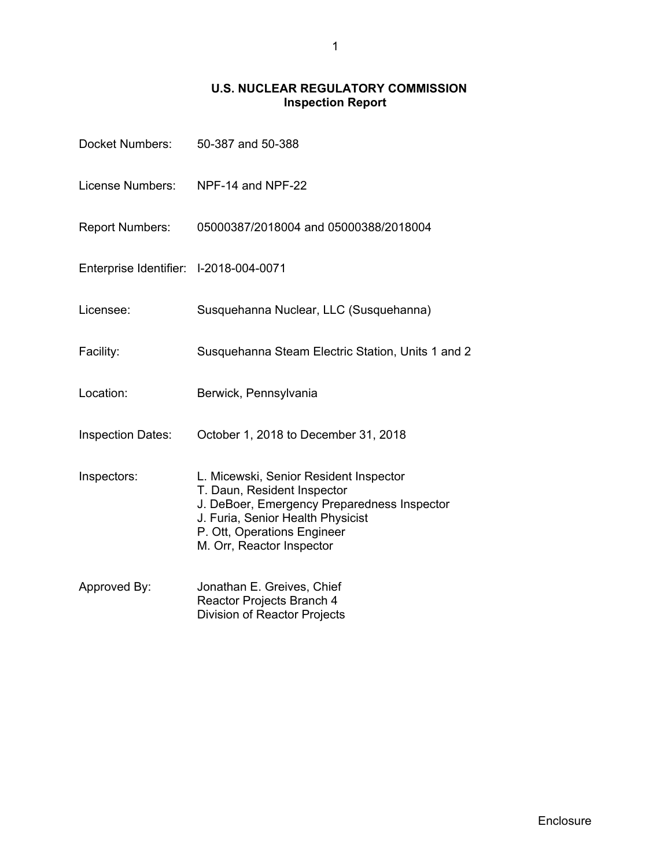# **U.S. NUCLEAR REGULATORY COMMISSION Inspection Report**

| Docket Numbers:                        | 50-387 and 50-388                                                                                                                                                                                                     |
|----------------------------------------|-----------------------------------------------------------------------------------------------------------------------------------------------------------------------------------------------------------------------|
| License Numbers:                       | NPF-14 and NPF-22                                                                                                                                                                                                     |
| <b>Report Numbers:</b>                 | 05000387/2018004 and 05000388/2018004                                                                                                                                                                                 |
| Enterprise Identifier: I-2018-004-0071 |                                                                                                                                                                                                                       |
| Licensee:                              | Susquehanna Nuclear, LLC (Susquehanna)                                                                                                                                                                                |
| Facility:                              | Susquehanna Steam Electric Station, Units 1 and 2                                                                                                                                                                     |
| Location:                              | Berwick, Pennsylvania                                                                                                                                                                                                 |
| <b>Inspection Dates:</b>               | October 1, 2018 to December 31, 2018                                                                                                                                                                                  |
| Inspectors:                            | L. Micewski, Senior Resident Inspector<br>T. Daun, Resident Inspector<br>J. DeBoer, Emergency Preparedness Inspector<br>J. Furia, Senior Health Physicist<br>P. Ott, Operations Engineer<br>M. Orr, Reactor Inspector |
| Approved By:                           | Jonathan E. Greives, Chief<br>Reactor Projects Branch 4<br>Division of Reactor Projects                                                                                                                               |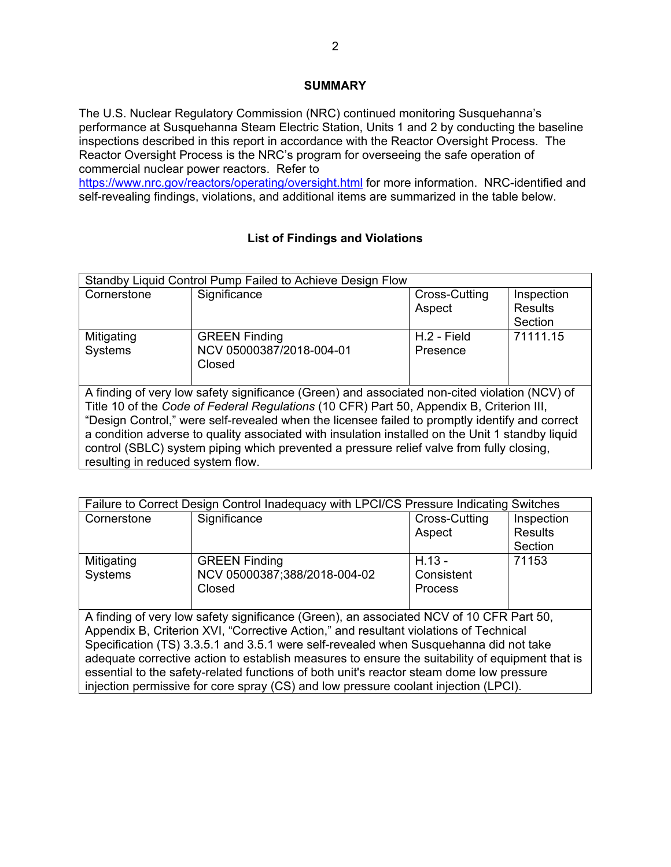# **SUMMARY**

The U.S. Nuclear Regulatory Commission (NRC) continued monitoring Susquehanna's performance at Susquehanna Steam Electric Station, Units 1 and 2 by conducting the baseline inspections described in this report in accordance with the Reactor Oversight Process. The Reactor Oversight Process is the NRC's program for overseeing the safe operation of commercial nuclear power reactors. Refer to

https://www.nrc.gov/reactors/operating/oversight.html for more information. NRC-identified and self-revealing findings, violations, and additional items are summarized in the table below.

# **List of Findings and Violations**

| Standby Liquid Control Pump Failed to Achieve Design Flow                                        |                                                                                               |               |                |
|--------------------------------------------------------------------------------------------------|-----------------------------------------------------------------------------------------------|---------------|----------------|
| Cornerstone                                                                                      | Significance                                                                                  | Cross-Cutting | Inspection     |
|                                                                                                  |                                                                                               | Aspect        | <b>Results</b> |
|                                                                                                  |                                                                                               |               | Section        |
| Mitigating                                                                                       | <b>GREEN Finding</b>                                                                          | H.2 - Field   | 71111.15       |
| Systems                                                                                          | NCV 05000387/2018-004-01                                                                      | Presence      |                |
|                                                                                                  | Closed                                                                                        |               |                |
|                                                                                                  |                                                                                               |               |                |
|                                                                                                  | A finding of very low safety significance (Green) and associated non-cited violation (NCV) of |               |                |
|                                                                                                  | Title 10 of the Code of Federal Regulations (10 CFR) Part 50, Appendix B, Criterion III,      |               |                |
| "Design Control," were self-revealed when the licensee failed to promptly identify and correct   |                                                                                               |               |                |
| a condition adverse to quality associated with insulation installed on the Unit 1 standby liquid |                                                                                               |               |                |
| control (SBLC) system piping which prevented a pressure relief valve from fully closing,         |                                                                                               |               |                |
| resulting in reduced system flow.                                                                |                                                                                               |               |                |

| Failure to Correct Design Control Inadequacy with LPCI/CS Pressure Indicating Switches          |                                                                                         |               |                |
|-------------------------------------------------------------------------------------------------|-----------------------------------------------------------------------------------------|---------------|----------------|
| Cornerstone                                                                                     | Significance                                                                            | Cross-Cutting | Inspection     |
|                                                                                                 |                                                                                         | Aspect        | <b>Results</b> |
|                                                                                                 |                                                                                         |               | Section        |
| Mitigating                                                                                      | <b>GREEN Finding</b>                                                                    | $H.13 -$      | 71153          |
| Systems                                                                                         | NCV 05000387;388/2018-004-02                                                            | Consistent    |                |
|                                                                                                 | Closed                                                                                  | Process       |                |
|                                                                                                 |                                                                                         |               |                |
|                                                                                                 | A finding of very low safety significance (Green), an associated NCV of 10 CFR Part 50, |               |                |
|                                                                                                 | Appendix B, Criterion XVI, "Corrective Action," and resultant violations of Technical   |               |                |
|                                                                                                 | Specification (TS) 3.3.5.1 and 3.5.1 were self-revealed when Susquehanna did not take   |               |                |
| adequate corrective action to establish measures to ensure the suitability of equipment that is |                                                                                         |               |                |
| essential to the safety-related functions of both unit's reactor steam dome low pressure        |                                                                                         |               |                |
|                                                                                                 | injection permissive for core spray (CS) and low pressure coolant injection (LPCI).     |               |                |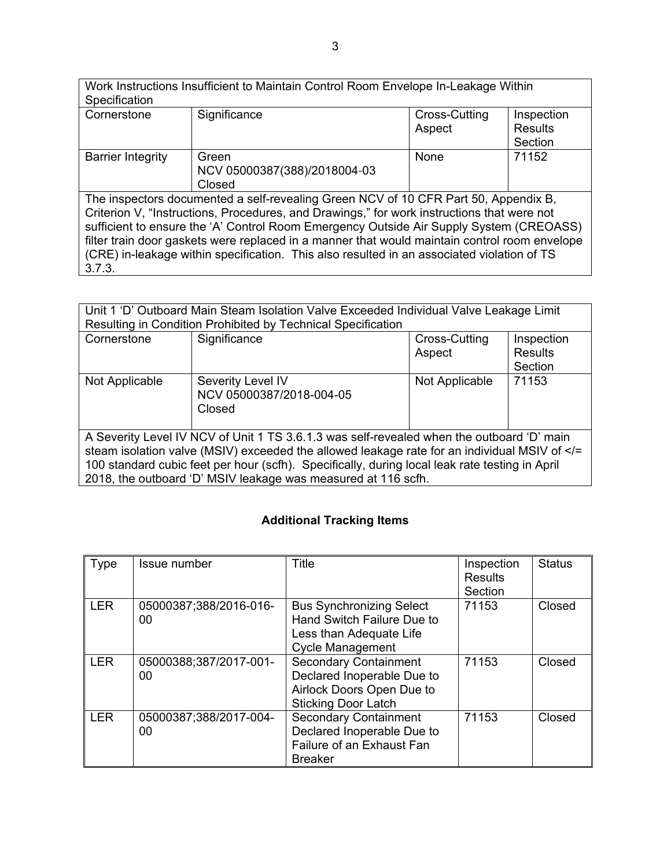Work Instructions Insufficient to Maintain Control Room Envelope In-Leakage Within **Specification** Cornerstone Significance Cornerstone Significance Aspect **Inspection Results Section** Barrier Integrity | Green NCV 05000387(388)/2018004-03 Closed None 71152 The inspectors documented a self-revealing Green NCV of 10 CFR Part 50, Appendix B, Criterion V, "Instructions, Procedures, and Drawings," for work instructions that were not sufficient to ensure the 'A' Control Room Emergency Outside Air Supply System (CREOASS) filter train door gaskets were replaced in a manner that would maintain control room envelope (CRE) in-leakage within specification. This also resulted in an associated violation of TS 3.7.3.

| Unit 1 'D' Outboard Main Steam Isolation Valve Exceeded Individual Valve Leakage Limit<br>Resulting in Condition Prohibited by Technical Specification                                                                                                                                    |                                                               |                |                |
|-------------------------------------------------------------------------------------------------------------------------------------------------------------------------------------------------------------------------------------------------------------------------------------------|---------------------------------------------------------------|----------------|----------------|
| Cornerstone                                                                                                                                                                                                                                                                               | Significance                                                  | Cross-Cutting  | Inspection     |
|                                                                                                                                                                                                                                                                                           |                                                               | Aspect         | <b>Results</b> |
|                                                                                                                                                                                                                                                                                           |                                                               |                | Section        |
| Not Applicable                                                                                                                                                                                                                                                                            | Severity Level IV<br>NCV 05000387/2018-004-05<br>Closed       | Not Applicable | 71153          |
| A Severity Level IV NCV of Unit 1 TS 3.6.1.3 was self-revealed when the outboard 'D' main<br>steam isolation valve (MSIV) exceeded the allowed leakage rate for an individual MSIV of =<br 100 standard cubic feet per hour (scfh). Specifically, during local leak rate testing in April |                                                               |                |                |
|                                                                                                                                                                                                                                                                                           | 2018, the outboard 'D' MSIV leakage was measured at 116 scfh. |                |                |

# **Additional Tracking Items**

| <b>Type</b> | Issue number                 | <b>Title</b>                                                                                                          | Inspection<br>Results<br>Section | <b>Status</b> |
|-------------|------------------------------|-----------------------------------------------------------------------------------------------------------------------|----------------------------------|---------------|
| <b>LER</b>  | 05000387;388/2016-016-<br>00 | <b>Bus Synchronizing Select</b><br>Hand Switch Failure Due to<br>Less than Adequate Life<br><b>Cycle Management</b>   | 71153                            | Closed        |
| <b>LER</b>  | 05000388;387/2017-001-<br>00 | <b>Secondary Containment</b><br>Declared Inoperable Due to<br>Airlock Doors Open Due to<br><b>Sticking Door Latch</b> | 71153                            | Closed        |
| <b>LER</b>  | 05000387;388/2017-004-<br>00 | <b>Secondary Containment</b><br>Declared Inoperable Due to<br>Failure of an Exhaust Fan<br><b>Breaker</b>             | 71153                            | Closed        |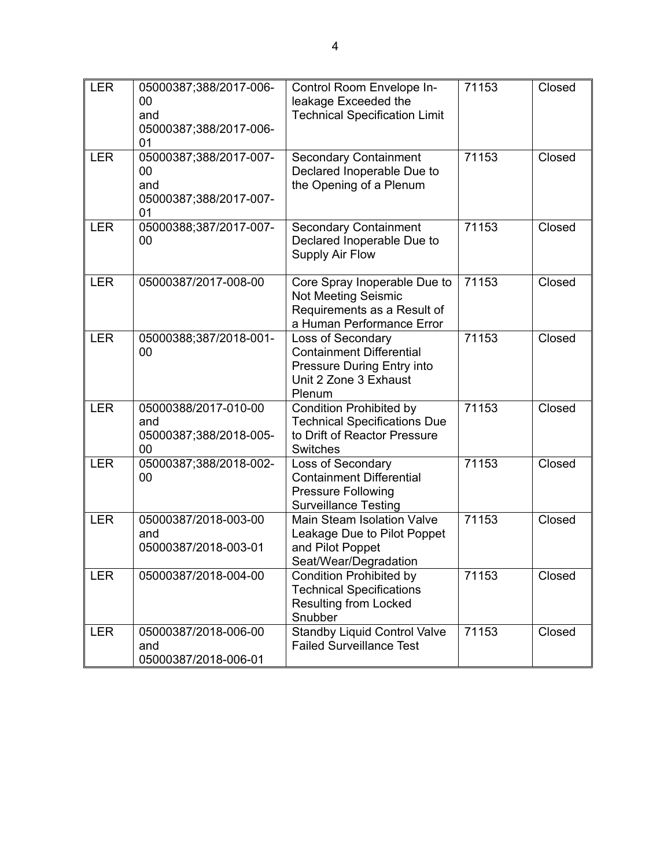| <b>LER</b> | 05000387;388/2017-006-<br>00<br>and<br>05000387;388/2017-006-<br>01 | Control Room Envelope In-<br>leakage Exceeded the<br><b>Technical Specification Limit</b>                             | 71153 | Closed |
|------------|---------------------------------------------------------------------|-----------------------------------------------------------------------------------------------------------------------|-------|--------|
| <b>LER</b> | 05000387;388/2017-007-<br>00<br>and<br>05000387;388/2017-007-<br>01 | <b>Secondary Containment</b><br>Declared Inoperable Due to<br>the Opening of a Plenum                                 | 71153 | Closed |
| <b>LER</b> | 05000388;387/2017-007-<br>00                                        | <b>Secondary Containment</b><br>Declared Inoperable Due to<br>Supply Air Flow                                         | 71153 | Closed |
| <b>LER</b> | 05000387/2017-008-00                                                | Core Spray Inoperable Due to<br>Not Meeting Seismic<br>Requirements as a Result of<br>a Human Performance Error       | 71153 | Closed |
| <b>LER</b> | 05000388;387/2018-001-<br>00                                        | Loss of Secondary<br><b>Containment Differential</b><br>Pressure During Entry into<br>Unit 2 Zone 3 Exhaust<br>Plenum | 71153 | Closed |
| <b>LER</b> | 05000388/2017-010-00<br>and<br>05000387;388/2018-005-<br>00         | <b>Condition Prohibited by</b><br><b>Technical Specifications Due</b><br>to Drift of Reactor Pressure<br>Switches     | 71153 | Closed |
| <b>LER</b> | 05000387;388/2018-002-<br>00                                        | Loss of Secondary<br><b>Containment Differential</b><br><b>Pressure Following</b><br><b>Surveillance Testing</b>      | 71153 | Closed |
| <b>LER</b> | 05000387/2018-003-00<br>and<br>05000387/2018-003-01                 | Main Steam Isolation Valve<br>Leakage Due to Pilot Poppet<br>and Pilot Poppet<br>Seat/Wear/Degradation                | 71153 | Closed |
| <b>LER</b> | 05000387/2018-004-00                                                | <b>Condition Prohibited by</b><br><b>Technical Specifications</b><br><b>Resulting from Locked</b><br>Snubber          | 71153 | Closed |
| <b>LER</b> | 05000387/2018-006-00<br>and<br>05000387/2018-006-01                 | <b>Standby Liquid Control Valve</b><br><b>Failed Surveillance Test</b>                                                | 71153 | Closed |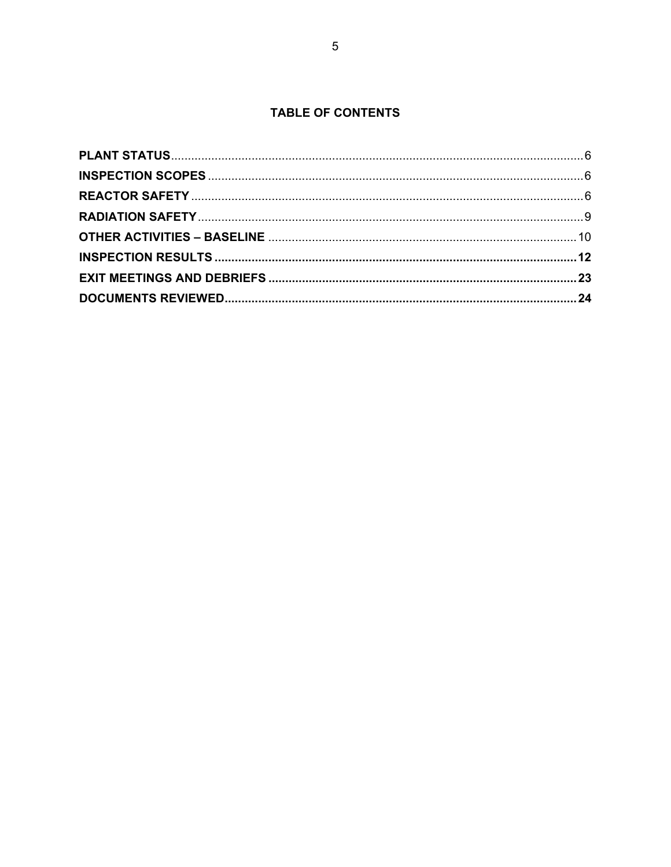# **TABLE OF CONTENTS**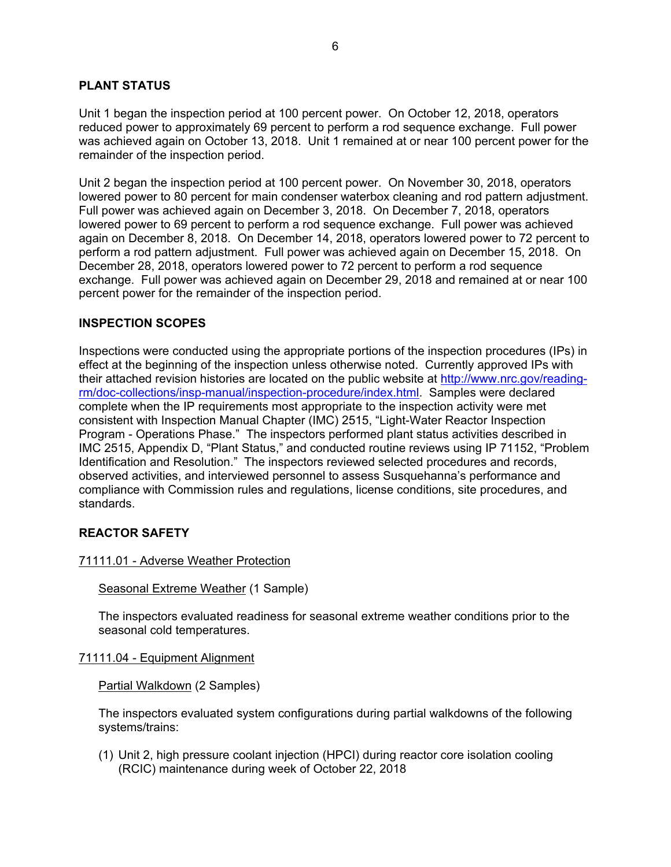## **PLANT STATUS**

Unit 1 began the inspection period at 100 percent power. On October 12, 2018, operators reduced power to approximately 69 percent to perform a rod sequence exchange. Full power was achieved again on October 13, 2018. Unit 1 remained at or near 100 percent power for the remainder of the inspection period.

Unit 2 began the inspection period at 100 percent power. On November 30, 2018, operators lowered power to 80 percent for main condenser waterbox cleaning and rod pattern adjustment. Full power was achieved again on December 3, 2018. On December 7, 2018, operators lowered power to 69 percent to perform a rod sequence exchange. Full power was achieved again on December 8, 2018. On December 14, 2018, operators lowered power to 72 percent to perform a rod pattern adjustment. Full power was achieved again on December 15, 2018. On December 28, 2018, operators lowered power to 72 percent to perform a rod sequence exchange. Full power was achieved again on December 29, 2018 and remained at or near 100 percent power for the remainder of the inspection period.

### **INSPECTION SCOPES**

Inspections were conducted using the appropriate portions of the inspection procedures (IPs) in effect at the beginning of the inspection unless otherwise noted. Currently approved IPs with their attached revision histories are located on the public website at http://www.nrc.gov/readingrm/doc-collections/insp-manual/inspection-procedure/index.html. Samples were declared complete when the IP requirements most appropriate to the inspection activity were met consistent with Inspection Manual Chapter (IMC) 2515, "Light-Water Reactor Inspection Program - Operations Phase." The inspectors performed plant status activities described in IMC 2515, Appendix D, "Plant Status," and conducted routine reviews using IP 71152, "Problem Identification and Resolution." The inspectors reviewed selected procedures and records, observed activities, and interviewed personnel to assess Susquehanna's performance and compliance with Commission rules and regulations, license conditions, site procedures, and standards.

### **REACTOR SAFETY**

### 71111.01 - Adverse Weather Protection

Seasonal Extreme Weather (1 Sample)

The inspectors evaluated readiness for seasonal extreme weather conditions prior to the seasonal cold temperatures.

#### 71111.04 - Equipment Alignment

Partial Walkdown (2 Samples)

The inspectors evaluated system configurations during partial walkdowns of the following systems/trains:

(1) Unit 2, high pressure coolant injection (HPCI) during reactor core isolation cooling (RCIC) maintenance during week of October 22, 2018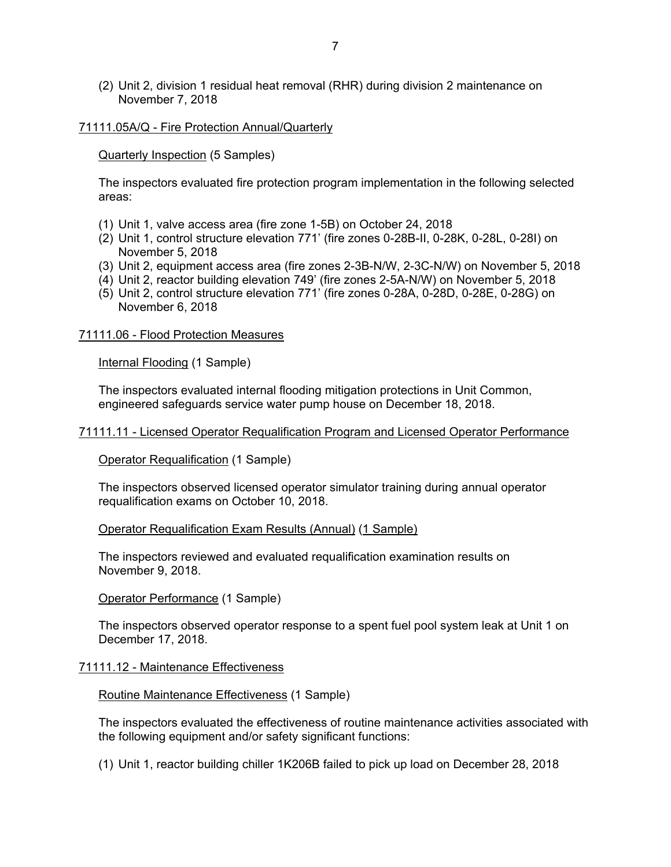(2) Unit 2, division 1 residual heat removal (RHR) during division 2 maintenance on November 7, 2018

#### 71111.05A/Q - Fire Protection Annual/Quarterly

Quarterly Inspection (5 Samples)

The inspectors evaluated fire protection program implementation in the following selected areas:

- (1) Unit 1, valve access area (fire zone 1-5B) on October 24, 2018
- (2) Unit 1, control structure elevation 771' (fire zones 0-28B-II, 0-28K, 0-28L, 0-28I) on November 5, 2018
- (3) Unit 2, equipment access area (fire zones 2-3B-N/W, 2-3C-N/W) on November 5, 2018
- (4) Unit 2, reactor building elevation 749' (fire zones 2-5A-N/W) on November 5, 2018
- (5) Unit 2, control structure elevation 771' (fire zones 0-28A, 0-28D, 0-28E, 0-28G) on November 6, 2018

#### 71111.06 - Flood Protection Measures

Internal Flooding (1 Sample)

The inspectors evaluated internal flooding mitigation protections in Unit Common, engineered safeguards service water pump house on December 18, 2018.

#### 71111.11 - Licensed Operator Requalification Program and Licensed Operator Performance

Operator Requalification (1 Sample)

The inspectors observed licensed operator simulator training during annual operator requalification exams on October 10, 2018.

#### Operator Requalification Exam Results (Annual) (1 Sample)

The inspectors reviewed and evaluated requalification examination results on November 9, 2018.

Operator Performance (1 Sample)

The inspectors observed operator response to a spent fuel pool system leak at Unit 1 on December 17, 2018.

### 71111.12 - Maintenance Effectiveness

Routine Maintenance Effectiveness (1 Sample)

The inspectors evaluated the effectiveness of routine maintenance activities associated with the following equipment and/or safety significant functions:

(1) Unit 1, reactor building chiller 1K206B failed to pick up load on December 28, 2018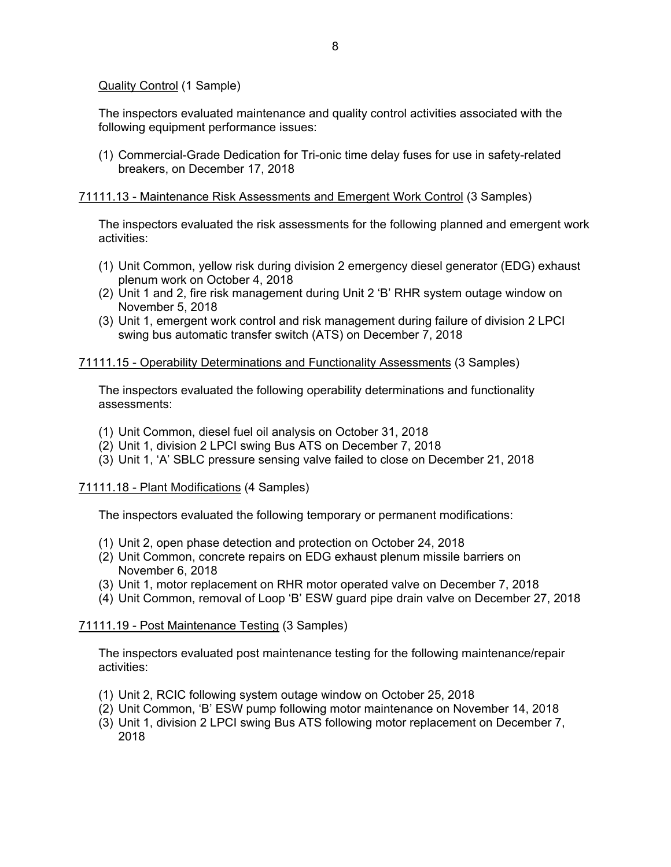Quality Control (1 Sample)

The inspectors evaluated maintenance and quality control activities associated with the following equipment performance issues:

(1) Commercial-Grade Dedication for Tri-onic time delay fuses for use in safety-related breakers, on December 17, 2018

### 71111.13 - Maintenance Risk Assessments and Emergent Work Control (3 Samples)

The inspectors evaluated the risk assessments for the following planned and emergent work activities:

- (1) Unit Common, yellow risk during division 2 emergency diesel generator (EDG) exhaust plenum work on October 4, 2018
- (2) Unit 1 and 2, fire risk management during Unit 2 'B' RHR system outage window on November 5, 2018
- (3) Unit 1, emergent work control and risk management during failure of division 2 LPCI swing bus automatic transfer switch (ATS) on December 7, 2018

### 71111.15 - Operability Determinations and Functionality Assessments (3 Samples)

The inspectors evaluated the following operability determinations and functionality assessments:

- (1) Unit Common, diesel fuel oil analysis on October 31, 2018
- (2) Unit 1, division 2 LPCI swing Bus ATS on December 7, 2018
- (3) Unit 1, 'A' SBLC pressure sensing valve failed to close on December 21, 2018

### 71111.18 - Plant Modifications (4 Samples)

The inspectors evaluated the following temporary or permanent modifications:

- (1) Unit 2, open phase detection and protection on October 24, 2018
- (2) Unit Common, concrete repairs on EDG exhaust plenum missile barriers on November 6, 2018
- (3) Unit 1, motor replacement on RHR motor operated valve on December 7, 2018
- (4) Unit Common, removal of Loop 'B' ESW guard pipe drain valve on December 27, 2018

### 71111.19 - Post Maintenance Testing (3 Samples)

The inspectors evaluated post maintenance testing for the following maintenance/repair activities:

- (1) Unit 2, RCIC following system outage window on October 25, 2018
- (2) Unit Common, 'B' ESW pump following motor maintenance on November 14, 2018
- (3) Unit 1, division 2 LPCI swing Bus ATS following motor replacement on December 7, 2018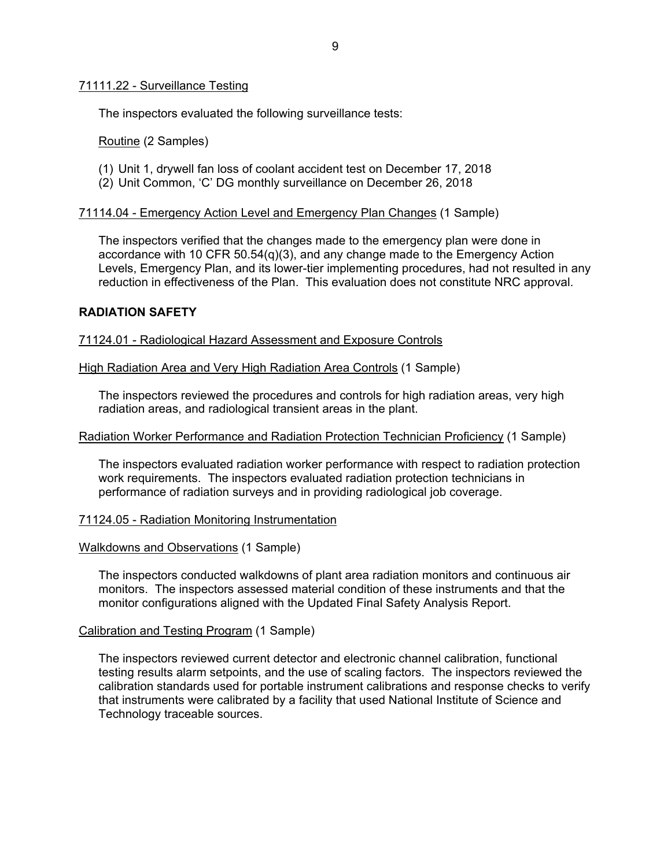### 71111.22 - Surveillance Testing

The inspectors evaluated the following surveillance tests:

Routine (2 Samples)

- (1) Unit 1, drywell fan loss of coolant accident test on December 17, 2018
- (2) Unit Common, 'C' DG monthly surveillance on December 26, 2018

### 71114.04 - Emergency Action Level and Emergency Plan Changes (1 Sample)

The inspectors verified that the changes made to the emergency plan were done in accordance with 10 CFR 50.54(q)(3), and any change made to the Emergency Action Levels, Emergency Plan, and its lower-tier implementing procedures, had not resulted in any reduction in effectiveness of the Plan. This evaluation does not constitute NRC approval.

### **RADIATION SAFETY**

71124.01 - Radiological Hazard Assessment and Exposure Controls

High Radiation Area and Very High Radiation Area Controls (1 Sample)

The inspectors reviewed the procedures and controls for high radiation areas, very high radiation areas, and radiological transient areas in the plant.

### Radiation Worker Performance and Radiation Protection Technician Proficiency (1 Sample)

The inspectors evaluated radiation worker performance with respect to radiation protection work requirements. The inspectors evaluated radiation protection technicians in performance of radiation surveys and in providing radiological job coverage.

### 71124.05 - Radiation Monitoring Instrumentation

Walkdowns and Observations (1 Sample)

The inspectors conducted walkdowns of plant area radiation monitors and continuous air monitors. The inspectors assessed material condition of these instruments and that the monitor configurations aligned with the Updated Final Safety Analysis Report.

### Calibration and Testing Program (1 Sample)

The inspectors reviewed current detector and electronic channel calibration, functional testing results alarm setpoints, and the use of scaling factors. The inspectors reviewed the calibration standards used for portable instrument calibrations and response checks to verify that instruments were calibrated by a facility that used National Institute of Science and Technology traceable sources.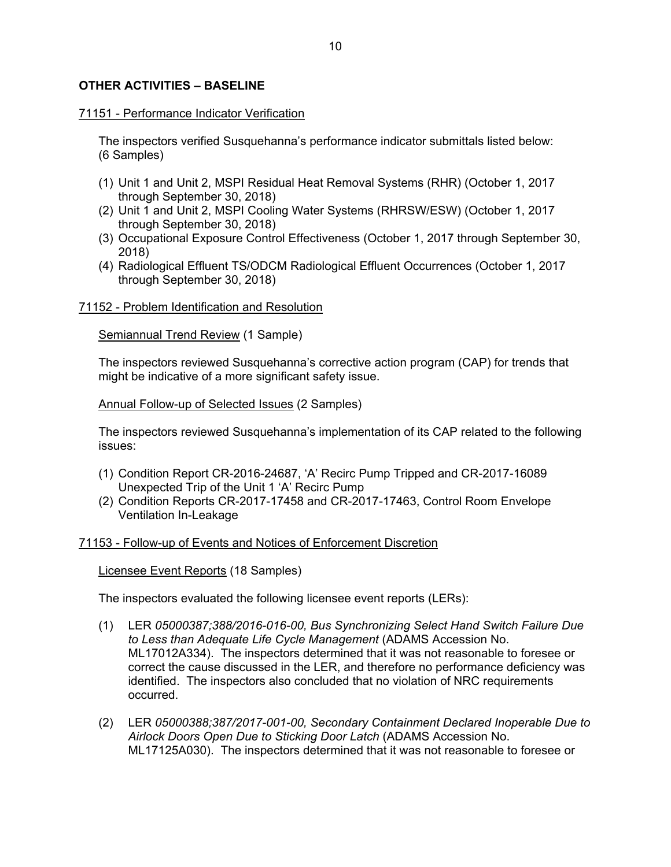## **OTHER ACTIVITIES – BASELINE**

#### 71151 - Performance Indicator Verification

The inspectors verified Susquehanna's performance indicator submittals listed below: (6 Samples)

- (1) Unit 1 and Unit 2, MSPI Residual Heat Removal Systems (RHR) (October 1, 2017 through September 30, 2018)
- (2) Unit 1 and Unit 2, MSPI Cooling Water Systems (RHRSW/ESW) (October 1, 2017 through September 30, 2018)
- (3) Occupational Exposure Control Effectiveness (October 1, 2017 through September 30, 2018)
- (4) Radiological Effluent TS/ODCM Radiological Effluent Occurrences (October 1, 2017 through September 30, 2018)

#### 71152 - Problem Identification and Resolution

Semiannual Trend Review (1 Sample)

The inspectors reviewed Susquehanna's corrective action program (CAP) for trends that might be indicative of a more significant safety issue.

Annual Follow-up of Selected Issues (2 Samples)

The inspectors reviewed Susquehanna's implementation of its CAP related to the following issues:

- (1) Condition Report CR-2016-24687, 'A' Recirc Pump Tripped and CR-2017-16089 Unexpected Trip of the Unit 1 'A' Recirc Pump
- (2) Condition Reports CR-2017-17458 and CR-2017-17463, Control Room Envelope Ventilation In-Leakage

#### 71153 - Follow-up of Events and Notices of Enforcement Discretion

Licensee Event Reports (18 Samples)

The inspectors evaluated the following licensee event reports (LERs):

- (1) LER *05000387;388/2016-016-00, Bus Synchronizing Select Hand Switch Failure Due to Less than Adequate Life Cycle Management* (ADAMS Accession No. ML17012A334). The inspectors determined that it was not reasonable to foresee or correct the cause discussed in the LER, and therefore no performance deficiency was identified. The inspectors also concluded that no violation of NRC requirements occurred.
- (2) LER *05000388;387/2017-001-00, Secondary Containment Declared Inoperable Due to Airlock Doors Open Due to Sticking Door Latch* (ADAMS Accession No. ML17125A030). The inspectors determined that it was not reasonable to foresee or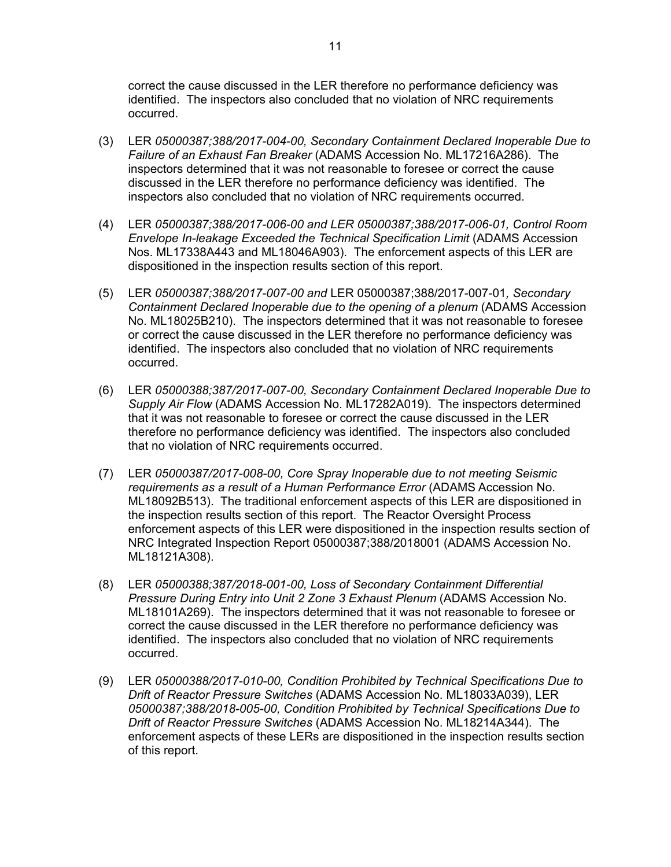correct the cause discussed in the LER therefore no performance deficiency was identified. The inspectors also concluded that no violation of NRC requirements occurred.

- (3) LER *05000387;388/2017-004-00, Secondary Containment Declared Inoperable Due to Failure of an Exhaust Fan Breaker* (ADAMS Accession No. ML17216A286). The inspectors determined that it was not reasonable to foresee or correct the cause discussed in the LER therefore no performance deficiency was identified. The inspectors also concluded that no violation of NRC requirements occurred.
- (4) LER *05000387;388/2017-006-00 and LER 05000387;388/2017-006-01, Control Room Envelope In-leakage Exceeded the Technical Specification Limit* (ADAMS Accession Nos. ML17338A443 and ML18046A903). The enforcement aspects of this LER are dispositioned in the inspection results section of this report.
- (5) LER *05000387;388/2017-007-00 and* LER 05000387;388/2017-007-01*, Secondary Containment Declared Inoperable due to the opening of a plenum* (ADAMS Accession No. ML18025B210). The inspectors determined that it was not reasonable to foresee or correct the cause discussed in the LER therefore no performance deficiency was identified. The inspectors also concluded that no violation of NRC requirements occurred.
- (6) LER *05000388;387/2017-007-00, Secondary Containment Declared Inoperable Due to Supply Air Flow* (ADAMS Accession No. ML17282A019). The inspectors determined that it was not reasonable to foresee or correct the cause discussed in the LER therefore no performance deficiency was identified. The inspectors also concluded that no violation of NRC requirements occurred.
- (7) LER *05000387/2017-008-00, Core Spray Inoperable due to not meeting Seismic requirements as a result of a Human Performance Error* (ADAMS Accession No. ML18092B513). The traditional enforcement aspects of this LER are dispositioned in the inspection results section of this report. The Reactor Oversight Process enforcement aspects of this LER were dispositioned in the inspection results section of NRC Integrated Inspection Report 05000387;388/2018001 (ADAMS Accession No. ML18121A308).
- (8) LER *05000388;387/2018-001-00, Loss of Secondary Containment Differential Pressure During Entry into Unit 2 Zone 3 Exhaust Plenum* (ADAMS Accession No. ML18101A269). The inspectors determined that it was not reasonable to foresee or correct the cause discussed in the LER therefore no performance deficiency was identified. The inspectors also concluded that no violation of NRC requirements occurred.
- (9) LER *05000388/2017-010-00, Condition Prohibited by Technical Specifications Due to Drift of Reactor Pressure Switches* (ADAMS Accession No. ML18033A039), LER *05000387;388/2018-005-00, Condition Prohibited by Technical Specifications Due to Drift of Reactor Pressure Switches* (ADAMS Accession No. ML18214A344). The enforcement aspects of these LERs are dispositioned in the inspection results section of this report.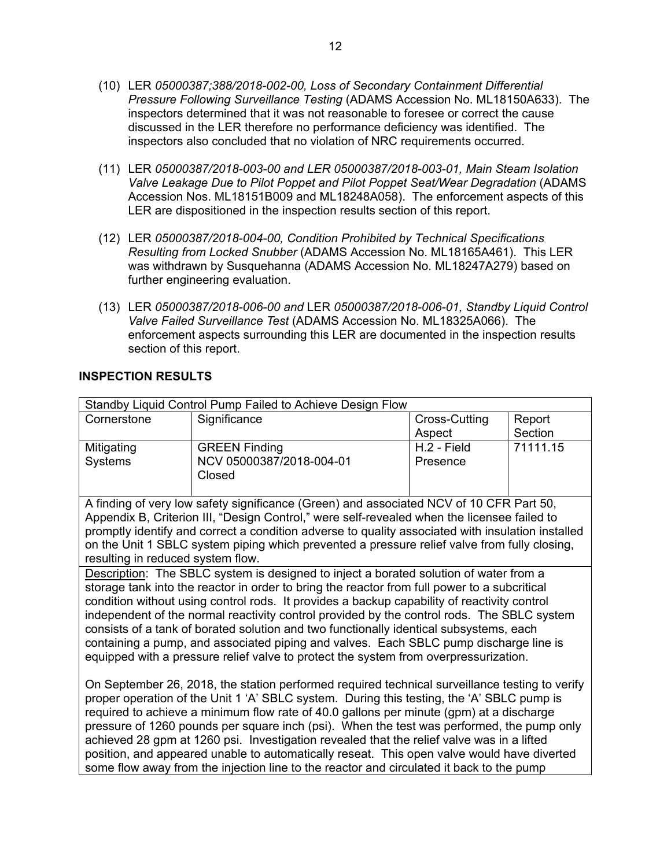- (10) LER *05000387;388/2018-002-00, Loss of Secondary Containment Differential Pressure Following Surveillance Testing* (ADAMS Accession No. ML18150A633). The inspectors determined that it was not reasonable to foresee or correct the cause discussed in the LER therefore no performance deficiency was identified. The inspectors also concluded that no violation of NRC requirements occurred.
- (11) LER *05000387/2018-003-00 and LER 05000387/2018-003-01, Main Steam Isolation Valve Leakage Due to Pilot Poppet and Pilot Poppet Seat/Wear Degradation* (ADAMS Accession Nos. ML18151B009 and ML18248A058). The enforcement aspects of this LER are dispositioned in the inspection results section of this report.
- (12) LER *05000387/2018-004-00, Condition Prohibited by Technical Specifications Resulting from Locked Snubber* (ADAMS Accession No. ML18165A461). This LER was withdrawn by Susquehanna (ADAMS Accession No. ML18247A279) based on further engineering evaluation.
- (13) LER *05000387/2018-006-00 and* LER *05000387/2018-006-01, Standby Liquid Control Valve Failed Surveillance Test* (ADAMS Accession No. ML18325A066). The enforcement aspects surrounding this LER are documented in the inspection results section of this report.

# **INSPECTION RESULTS**

| Standby Liquid Control Pump Failed to Achieve Design Flow                             |                                                                                                                                                                                             |               |          |  |
|---------------------------------------------------------------------------------------|---------------------------------------------------------------------------------------------------------------------------------------------------------------------------------------------|---------------|----------|--|
| Cornerstone                                                                           | Significance                                                                                                                                                                                | Cross-Cutting | Report   |  |
|                                                                                       |                                                                                                                                                                                             | Aspect        | Section  |  |
| Mitigating                                                                            | <b>GREEN Finding</b>                                                                                                                                                                        | H.2 - Field   | 71111.15 |  |
| <b>Systems</b>                                                                        | NCV 05000387/2018-004-01                                                                                                                                                                    | Presence      |          |  |
|                                                                                       | Closed                                                                                                                                                                                      |               |          |  |
|                                                                                       |                                                                                                                                                                                             |               |          |  |
|                                                                                       | A finding of very low safety significance (Green) and associated NCV of 10 CFR Part 50,                                                                                                     |               |          |  |
|                                                                                       | Appendix B, Criterion III, "Design Control," were self-revealed when the licensee failed to                                                                                                 |               |          |  |
|                                                                                       | promptly identify and correct a condition adverse to quality associated with insulation installed                                                                                           |               |          |  |
|                                                                                       | on the Unit 1 SBLC system piping which prevented a pressure relief valve from fully closing,                                                                                                |               |          |  |
| resulting in reduced system flow.                                                     |                                                                                                                                                                                             |               |          |  |
|                                                                                       | Description: The SBLC system is designed to inject a borated solution of water from a                                                                                                       |               |          |  |
|                                                                                       | storage tank into the reactor in order to bring the reactor from full power to a subcritical                                                                                                |               |          |  |
|                                                                                       | condition without using control rods. It provides a backup capability of reactivity control                                                                                                 |               |          |  |
|                                                                                       | independent of the normal reactivity control provided by the control rods. The SBLC system                                                                                                  |               |          |  |
|                                                                                       | consists of a tank of borated solution and two functionally identical subsystems, each                                                                                                      |               |          |  |
| containing a pump, and associated piping and valves. Each SBLC pump discharge line is |                                                                                                                                                                                             |               |          |  |
| equipped with a pressure relief valve to protect the system from overpressurization.  |                                                                                                                                                                                             |               |          |  |
|                                                                                       |                                                                                                                                                                                             |               |          |  |
|                                                                                       | On September 26, 2018, the station performed required technical surveillance testing to verify<br>proper operation of the Unit 1 'A' SRI C system During this testing the 'A' SRI C pump is |               |          |  |

proper operation of the Unit 1 'A' SBLC system. During this testing, the 'A' SBLC pump is required to achieve a minimum flow rate of 40.0 gallons per minute (gpm) at a discharge pressure of 1260 pounds per square inch (psi). When the test was performed, the pump only achieved 28 gpm at 1260 psi. Investigation revealed that the relief valve was in a lifted position, and appeared unable to automatically reseat. This open valve would have diverted some flow away from the injection line to the reactor and circulated it back to the pump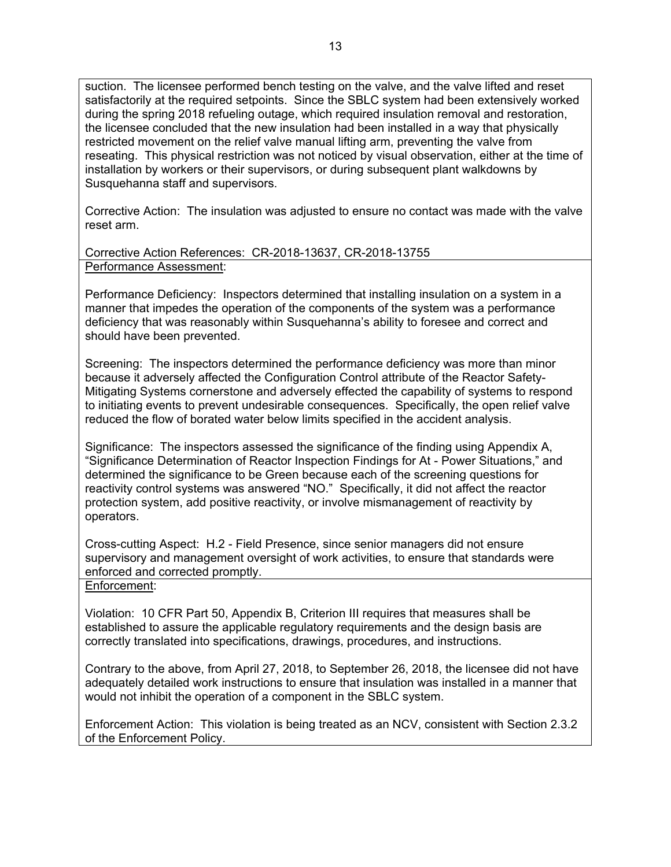suction. The licensee performed bench testing on the valve, and the valve lifted and reset satisfactorily at the required setpoints. Since the SBLC system had been extensively worked during the spring 2018 refueling outage, which required insulation removal and restoration, the licensee concluded that the new insulation had been installed in a way that physically restricted movement on the relief valve manual lifting arm, preventing the valve from reseating. This physical restriction was not noticed by visual observation, either at the time of installation by workers or their supervisors, or during subsequent plant walkdowns by Susquehanna staff and supervisors.

Corrective Action: The insulation was adjusted to ensure no contact was made with the valve reset arm.

Corrective Action References: CR-2018-13637, CR-2018-13755 Performance Assessment:

Performance Deficiency: Inspectors determined that installing insulation on a system in a manner that impedes the operation of the components of the system was a performance deficiency that was reasonably within Susquehanna's ability to foresee and correct and should have been prevented.

Screening: The inspectors determined the performance deficiency was more than minor because it adversely affected the Configuration Control attribute of the Reactor Safety-Mitigating Systems cornerstone and adversely effected the capability of systems to respond to initiating events to prevent undesirable consequences. Specifically, the open relief valve reduced the flow of borated water below limits specified in the accident analysis.

Significance: The inspectors assessed the significance of the finding using Appendix A, "Significance Determination of Reactor Inspection Findings for At - Power Situations," and determined the significance to be Green because each of the screening questions for reactivity control systems was answered "NO." Specifically, it did not affect the reactor protection system, add positive reactivity, or involve mismanagement of reactivity by operators.

Cross-cutting Aspect: H.2 - Field Presence, since senior managers did not ensure supervisory and management oversight of work activities, to ensure that standards were enforced and corrected promptly.

# Enforcement:

Violation: 10 CFR Part 50, Appendix B, Criterion III requires that measures shall be established to assure the applicable regulatory requirements and the design basis are correctly translated into specifications, drawings, procedures, and instructions.

Contrary to the above, from April 27, 2018, to September 26, 2018, the licensee did not have adequately detailed work instructions to ensure that insulation was installed in a manner that would not inhibit the operation of a component in the SBLC system.

Enforcement Action: This violation is being treated as an NCV, consistent with Section 2.3.2 of the Enforcement Policy.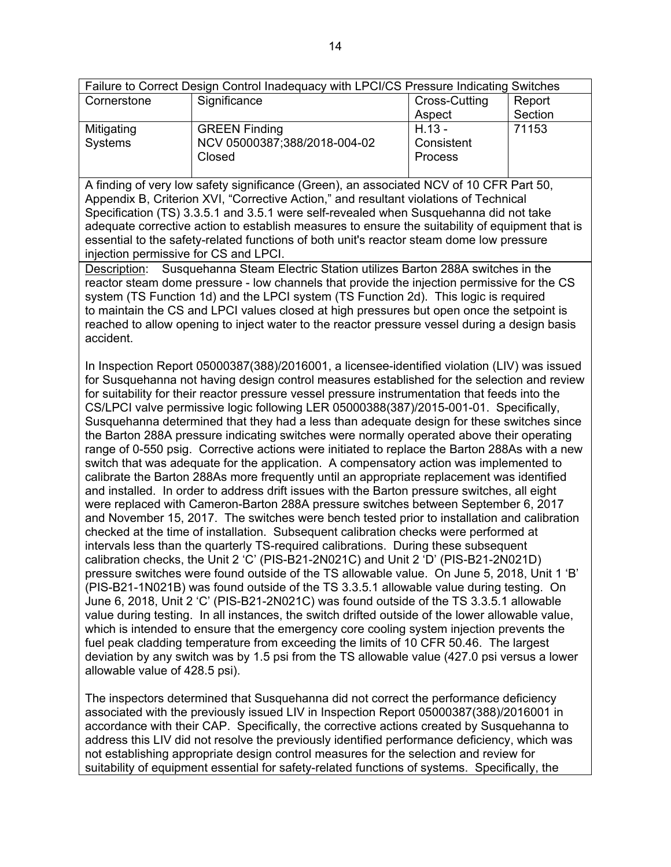| Failure to Correct Design Control Inadequacy with LPCI/CS Pressure Indicating Switches |                              |               |         |
|----------------------------------------------------------------------------------------|------------------------------|---------------|---------|
| Cornerstone                                                                            | Significance                 | Cross-Cutting | Report  |
|                                                                                        |                              | Aspect        | Section |
| Mitigating                                                                             | <b>GREEN Finding</b>         | $H.13 -$      | 71153   |
| Systems                                                                                | NCV 05000387;388/2018-004-02 | Consistent    |         |
|                                                                                        | Closed                       | Process       |         |

A finding of very low safety significance (Green), an associated NCV of 10 CFR Part 50, Appendix B, Criterion XVI, "Corrective Action," and resultant violations of Technical Specification (TS) 3.3.5.1 and 3.5.1 were self-revealed when Susquehanna did not take adequate corrective action to establish measures to ensure the suitability of equipment that is essential to the safety-related functions of both unit's reactor steam dome low pressure injection permissive for CS and LPCI.

Description: Susquehanna Steam Electric Station utilizes Barton 288A switches in the reactor steam dome pressure - low channels that provide the injection permissive for the CS system (TS Function 1d) and the LPCI system (TS Function 2d). This logic is required to maintain the CS and LPCI values closed at high pressures but open once the setpoint is reached to allow opening to inject water to the reactor pressure vessel during a design basis accident.

In Inspection Report 05000387(388)/2016001, a licensee-identified violation (LIV) was issued for Susquehanna not having design control measures established for the selection and review for suitability for their reactor pressure vessel pressure instrumentation that feeds into the CS/LPCI valve permissive logic following LER 05000388(387)/2015-001-01. Specifically, Susquehanna determined that they had a less than adequate design for these switches since the Barton 288A pressure indicating switches were normally operated above their operating range of 0-550 psig. Corrective actions were initiated to replace the Barton 288As with a new switch that was adequate for the application. A compensatory action was implemented to calibrate the Barton 288As more frequently until an appropriate replacement was identified and installed. In order to address drift issues with the Barton pressure switches, all eight were replaced with Cameron-Barton 288A pressure switches between September 6, 2017 and November 15, 2017. The switches were bench tested prior to installation and calibration checked at the time of installation. Subsequent calibration checks were performed at intervals less than the quarterly TS-required calibrations. During these subsequent calibration checks, the Unit 2 'C' (PIS-B21-2N021C) and Unit 2 'D' (PIS-B21-2N021D) pressure switches were found outside of the TS allowable value. On June 5, 2018, Unit 1 'B' (PIS-B21-1N021B) was found outside of the TS 3.3.5.1 allowable value during testing. On June 6, 2018, Unit 2 'C' (PIS-B21-2N021C) was found outside of the TS 3.3.5.1 allowable value during testing. In all instances, the switch drifted outside of the lower allowable value, which is intended to ensure that the emergency core cooling system injection prevents the fuel peak cladding temperature from exceeding the limits of 10 CFR 50.46. The largest deviation by any switch was by 1.5 psi from the TS allowable value (427.0 psi versus a lower allowable value of 428.5 psi).

The inspectors determined that Susquehanna did not correct the performance deficiency associated with the previously issued LIV in Inspection Report 05000387(388)/2016001 in accordance with their CAP. Specifically, the corrective actions created by Susquehanna to address this LIV did not resolve the previously identified performance deficiency, which was not establishing appropriate design control measures for the selection and review for suitability of equipment essential for safety-related functions of systems. Specifically, the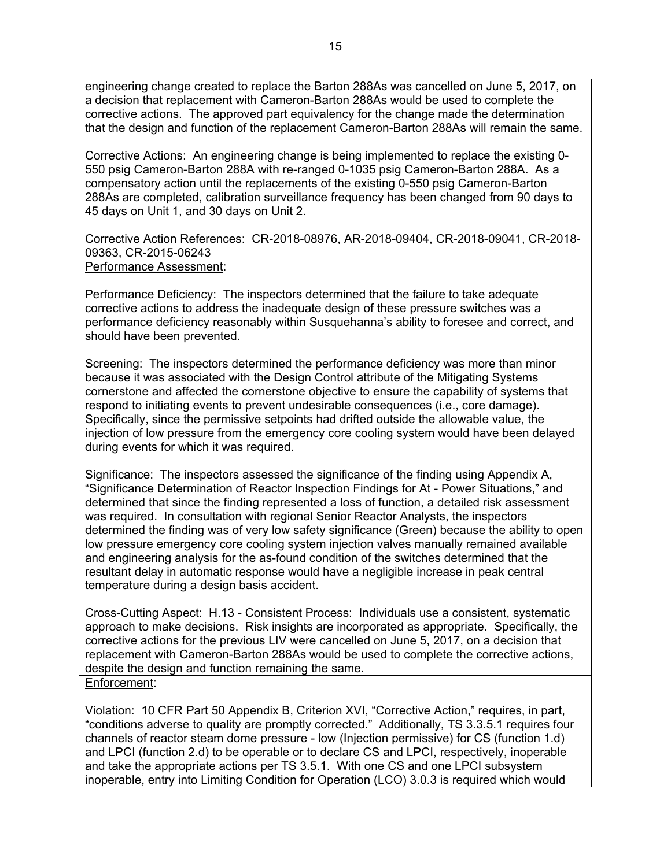engineering change created to replace the Barton 288As was cancelled on June 5, 2017, on a decision that replacement with Cameron-Barton 288As would be used to complete the corrective actions. The approved part equivalency for the change made the determination that the design and function of the replacement Cameron-Barton 288As will remain the same.

Corrective Actions: An engineering change is being implemented to replace the existing 0- 550 psig Cameron-Barton 288A with re-ranged 0-1035 psig Cameron-Barton 288A. As a compensatory action until the replacements of the existing 0-550 psig Cameron-Barton 288As are completed, calibration surveillance frequency has been changed from 90 days to 45 days on Unit 1, and 30 days on Unit 2.

Corrective Action References: CR-2018-08976, AR-2018-09404, CR-2018-09041, CR-2018- 09363, CR-2015-06243

Performance Assessment:

Performance Deficiency: The inspectors determined that the failure to take adequate corrective actions to address the inadequate design of these pressure switches was a performance deficiency reasonably within Susquehanna's ability to foresee and correct, and should have been prevented.

Screening: The inspectors determined the performance deficiency was more than minor because it was associated with the Design Control attribute of the Mitigating Systems cornerstone and affected the cornerstone objective to ensure the capability of systems that respond to initiating events to prevent undesirable consequences (i.e., core damage). Specifically, since the permissive setpoints had drifted outside the allowable value, the injection of low pressure from the emergency core cooling system would have been delayed during events for which it was required.

Significance: The inspectors assessed the significance of the finding using Appendix A, "Significance Determination of Reactor Inspection Findings for At - Power Situations," and determined that since the finding represented a loss of function, a detailed risk assessment was required. In consultation with regional Senior Reactor Analysts, the inspectors determined the finding was of very low safety significance (Green) because the ability to open low pressure emergency core cooling system injection valves manually remained available and engineering analysis for the as-found condition of the switches determined that the resultant delay in automatic response would have a negligible increase in peak central temperature during a design basis accident.

Cross-Cutting Aspect: H.13 - Consistent Process: Individuals use a consistent, systematic approach to make decisions. Risk insights are incorporated as appropriate. Specifically, the corrective actions for the previous LIV were cancelled on June 5, 2017, on a decision that replacement with Cameron-Barton 288As would be used to complete the corrective actions, despite the design and function remaining the same.

### Enforcement:

Violation: 10 CFR Part 50 Appendix B, Criterion XVI, "Corrective Action," requires, in part, "conditions adverse to quality are promptly corrected." Additionally, TS 3.3.5.1 requires four channels of reactor steam dome pressure - low (Injection permissive) for CS (function 1.d) and LPCI (function 2.d) to be operable or to declare CS and LPCI, respectively, inoperable and take the appropriate actions per TS 3.5.1. With one CS and one LPCI subsystem inoperable, entry into Limiting Condition for Operation (LCO) 3.0.3 is required which would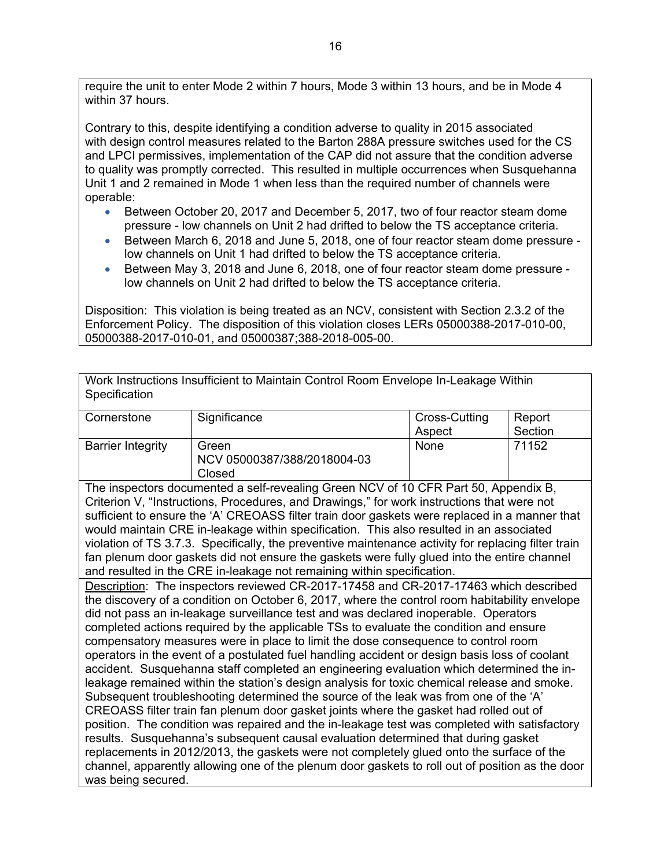require the unit to enter Mode 2 within 7 hours, Mode 3 within 13 hours, and be in Mode 4 within 37 hours.

Contrary to this, despite identifying a condition adverse to quality in 2015 associated with design control measures related to the Barton 288A pressure switches used for the CS and LPCI permissives, implementation of the CAP did not assure that the condition adverse to quality was promptly corrected. This resulted in multiple occurrences when Susquehanna Unit 1 and 2 remained in Mode 1 when less than the required number of channels were operable:

- Between October 20, 2017 and December 5, 2017, two of four reactor steam dome pressure - low channels on Unit 2 had drifted to below the TS acceptance criteria.
- Between March 6, 2018 and June 5, 2018, one of four reactor steam dome pressure low channels on Unit 1 had drifted to below the TS acceptance criteria.
- Between May 3, 2018 and June 6, 2018, one of four reactor steam dome pressure low channels on Unit 2 had drifted to below the TS acceptance criteria.

Disposition: This violation is being treated as an NCV, consistent with Section 2.3.2 of the Enforcement Policy. The disposition of this violation closes LERs 05000388-2017-010-00, 05000388-2017-010-01, and 05000387;388-2018-005-00.

Work Instructions Insufficient to Maintain Control Room Envelope In-Leakage Within **Specification** 

| Cornerstone              | Significance                                   | Cross-Cutting | Report  |
|--------------------------|------------------------------------------------|---------------|---------|
|                          |                                                | Aspect        | Section |
| <b>Barrier Integrity</b> | Green<br>NCV 05000387/388/2018004-03<br>Closed | None          | 71152   |

The inspectors documented a self-revealing Green NCV of 10 CFR Part 50, Appendix B, Criterion V, "Instructions, Procedures, and Drawings," for work instructions that were not sufficient to ensure the 'A' CREOASS filter train door gaskets were replaced in a manner that would maintain CRE in-leakage within specification. This also resulted in an associated violation of TS 3.7.3. Specifically, the preventive maintenance activity for replacing filter train fan plenum door gaskets did not ensure the gaskets were fully glued into the entire channel and resulted in the CRE in-leakage not remaining within specification.

Description: The inspectors reviewed CR-2017-17458 and CR-2017-17463 which described the discovery of a condition on October 6, 2017, where the control room habitability envelope did not pass an in-leakage surveillance test and was declared inoperable. Operators completed actions required by the applicable TSs to evaluate the condition and ensure compensatory measures were in place to limit the dose consequence to control room operators in the event of a postulated fuel handling accident or design basis loss of coolant accident. Susquehanna staff completed an engineering evaluation which determined the inleakage remained within the station's design analysis for toxic chemical release and smoke. Subsequent troubleshooting determined the source of the leak was from one of the 'A' CREOASS filter train fan plenum door gasket joints where the gasket had rolled out of position. The condition was repaired and the in-leakage test was completed with satisfactory results. Susquehanna's subsequent causal evaluation determined that during gasket replacements in 2012/2013, the gaskets were not completely glued onto the surface of the channel, apparently allowing one of the plenum door gaskets to roll out of position as the door was being secured.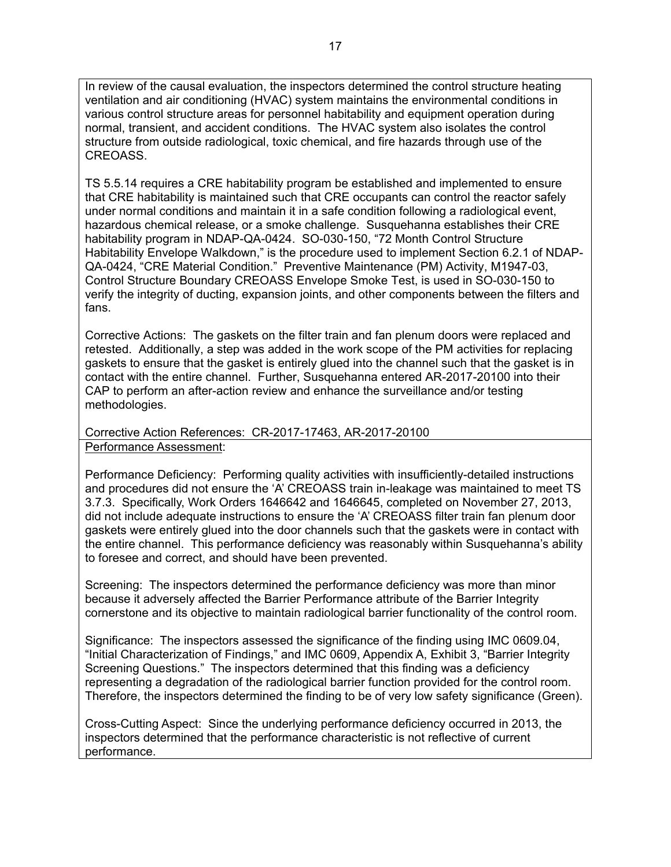In review of the causal evaluation, the inspectors determined the control structure heating ventilation and air conditioning (HVAC) system maintains the environmental conditions in various control structure areas for personnel habitability and equipment operation during normal, transient, and accident conditions. The HVAC system also isolates the control structure from outside radiological, toxic chemical, and fire hazards through use of the CREOASS.

TS 5.5.14 requires a CRE habitability program be established and implemented to ensure that CRE habitability is maintained such that CRE occupants can control the reactor safely under normal conditions and maintain it in a safe condition following a radiological event, hazardous chemical release, or a smoke challenge. Susquehanna establishes their CRE habitability program in NDAP-QA-0424. SO-030-150, "72 Month Control Structure Habitability Envelope Walkdown," is the procedure used to implement Section 6.2.1 of NDAP-QA-0424, "CRE Material Condition." Preventive Maintenance (PM) Activity, M1947-03, Control Structure Boundary CREOASS Envelope Smoke Test, is used in SO-030-150 to verify the integrity of ducting, expansion joints, and other components between the filters and fans.

Corrective Actions: The gaskets on the filter train and fan plenum doors were replaced and retested. Additionally, a step was added in the work scope of the PM activities for replacing gaskets to ensure that the gasket is entirely glued into the channel such that the gasket is in contact with the entire channel. Further, Susquehanna entered AR-2017-20100 into their CAP to perform an after-action review and enhance the surveillance and/or testing methodologies.

Corrective Action References: CR-2017-17463, AR-2017-20100 Performance Assessment:

Performance Deficiency: Performing quality activities with insufficiently-detailed instructions and procedures did not ensure the 'A' CREOASS train in-leakage was maintained to meet TS 3.7.3. Specifically, Work Orders 1646642 and 1646645, completed on November 27, 2013, did not include adequate instructions to ensure the 'A' CREOASS filter train fan plenum door gaskets were entirely glued into the door channels such that the gaskets were in contact with the entire channel. This performance deficiency was reasonably within Susquehanna's ability to foresee and correct, and should have been prevented.

Screening: The inspectors determined the performance deficiency was more than minor because it adversely affected the Barrier Performance attribute of the Barrier Integrity cornerstone and its objective to maintain radiological barrier functionality of the control room.

Significance: The inspectors assessed the significance of the finding using IMC 0609.04, "Initial Characterization of Findings," and IMC 0609, Appendix A, Exhibit 3, "Barrier Integrity Screening Questions." The inspectors determined that this finding was a deficiency representing a degradation of the radiological barrier function provided for the control room. Therefore, the inspectors determined the finding to be of very low safety significance (Green).

Cross-Cutting Aspect: Since the underlying performance deficiency occurred in 2013, the inspectors determined that the performance characteristic is not reflective of current performance.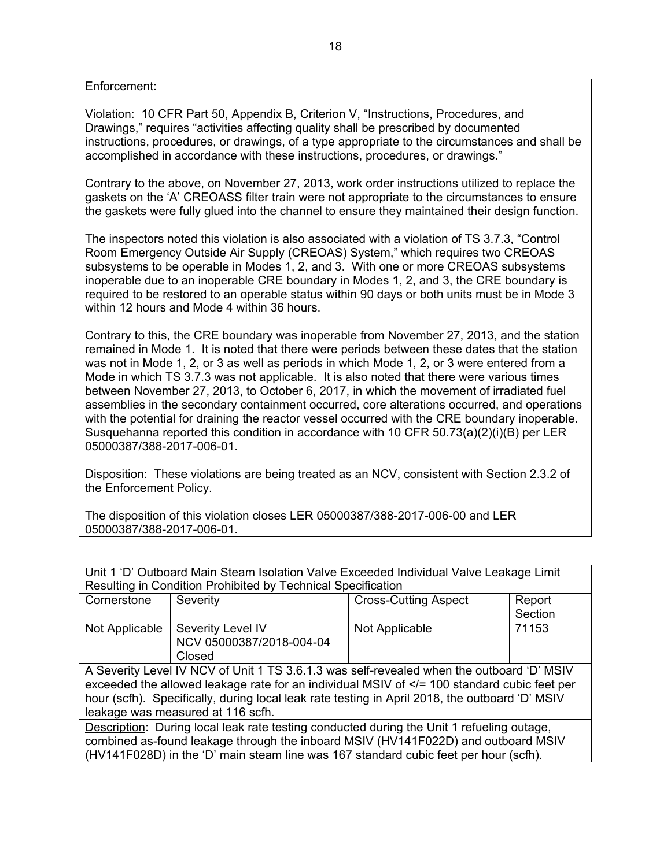Enforcement:

Violation: 10 CFR Part 50, Appendix B, Criterion V, "Instructions, Procedures, and Drawings," requires "activities affecting quality shall be prescribed by documented instructions, procedures, or drawings, of a type appropriate to the circumstances and shall be accomplished in accordance with these instructions, procedures, or drawings."

Contrary to the above, on November 27, 2013, work order instructions utilized to replace the gaskets on the 'A' CREOASS filter train were not appropriate to the circumstances to ensure the gaskets were fully glued into the channel to ensure they maintained their design function.

The inspectors noted this violation is also associated with a violation of TS 3.7.3, "Control Room Emergency Outside Air Supply (CREOAS) System," which requires two CREOAS subsystems to be operable in Modes 1, 2, and 3. With one or more CREOAS subsystems inoperable due to an inoperable CRE boundary in Modes 1, 2, and 3, the CRE boundary is required to be restored to an operable status within 90 days or both units must be in Mode 3 within 12 hours and Mode 4 within 36 hours.

Contrary to this, the CRE boundary was inoperable from November 27, 2013, and the station remained in Mode 1. It is noted that there were periods between these dates that the station was not in Mode 1, 2, or 3 as well as periods in which Mode 1, 2, or 3 were entered from a Mode in which TS 3.7.3 was not applicable. It is also noted that there were various times between November 27, 2013, to October 6, 2017, in which the movement of irradiated fuel assemblies in the secondary containment occurred, core alterations occurred, and operations with the potential for draining the reactor vessel occurred with the CRE boundary inoperable. Susquehanna reported this condition in accordance with 10 CFR  $50.73(a)(2)(i)(B)$  per LER 05000387/388-2017-006-01.

Disposition: These violations are being treated as an NCV, consistent with Section 2.3.2 of the Enforcement Policy.

The disposition of this violation closes LER 05000387/388-2017-006-00 and LER 05000387/388-2017-006-01.

| Unit 1 'D' Outboard Main Steam Isolation Valve Exceeded Individual Valve Leakage Limit |  |
|----------------------------------------------------------------------------------------|--|
| Resulting in Condition Prohibited by Technical Specification                           |  |
|                                                                                        |  |

| Cornerstone                                                                                     | Severity                 | <b>Cross-Cutting Aspect</b> | Report  |  |
|-------------------------------------------------------------------------------------------------|--------------------------|-----------------------------|---------|--|
|                                                                                                 |                          |                             | Section |  |
| Not Applicable                                                                                  | Severity Level IV        | Not Applicable              | 71153   |  |
|                                                                                                 | NCV 05000387/2018-004-04 |                             |         |  |
|                                                                                                 | Closed                   |                             |         |  |
| A Severity Level IV NCV of Unit 1 TS 3.6.1.3 was self-revealed when the outboard 'D' MSIV       |                          |                             |         |  |
| exceeded the allowed leakage rate for an individual MSIV of $\lt$ = 100 standard cubic feet per |                          |                             |         |  |
| hour (scfh). Specifically, during local leak rate testing in April 2018, the outboard 'D' MSIV  |                          |                             |         |  |
| leakage was measured at 116 scfh.                                                               |                          |                             |         |  |
| Description: During local leak rate testing conducted during the Unit 1 refueling outage,       |                          |                             |         |  |
| combined as-found leakage through the inboard MSIV (HV141F022D) and outboard MSIV               |                          |                             |         |  |
| (HV141F028D) in the 'D' main steam line was 167 standard cubic feet per hour (scfh).            |                          |                             |         |  |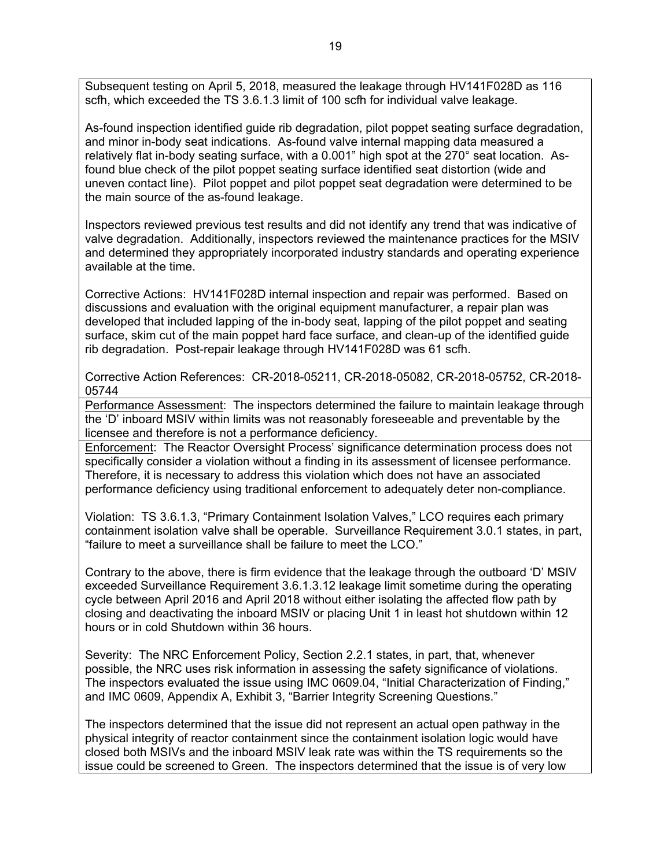Subsequent testing on April 5, 2018, measured the leakage through HV141F028D as 116 scfh, which exceeded the TS 3.6.1.3 limit of 100 scfh for individual valve leakage.

As-found inspection identified guide rib degradation, pilot poppet seating surface degradation, and minor in-body seat indications. As-found valve internal mapping data measured a relatively flat in-body seating surface, with a 0.001" high spot at the 270° seat location. Asfound blue check of the pilot poppet seating surface identified seat distortion (wide and uneven contact line). Pilot poppet and pilot poppet seat degradation were determined to be the main source of the as-found leakage.

Inspectors reviewed previous test results and did not identify any trend that was indicative of valve degradation. Additionally, inspectors reviewed the maintenance practices for the MSIV and determined they appropriately incorporated industry standards and operating experience available at the time.

Corrective Actions: HV141F028D internal inspection and repair was performed. Based on discussions and evaluation with the original equipment manufacturer, a repair plan was developed that included lapping of the in-body seat, lapping of the pilot poppet and seating surface, skim cut of the main poppet hard face surface, and clean-up of the identified guide rib degradation. Post-repair leakage through HV141F028D was 61 scfh.

Corrective Action References: CR-2018-05211, CR-2018-05082, CR-2018-05752, CR-2018- 05744

Performance Assessment: The inspectors determined the failure to maintain leakage through the 'D' inboard MSIV within limits was not reasonably foreseeable and preventable by the licensee and therefore is not a performance deficiency.

Enforcement: The Reactor Oversight Process' significance determination process does not specifically consider a violation without a finding in its assessment of licensee performance. Therefore, it is necessary to address this violation which does not have an associated performance deficiency using traditional enforcement to adequately deter non-compliance.

Violation: TS 3.6.1.3, "Primary Containment Isolation Valves," LCO requires each primary containment isolation valve shall be operable. Surveillance Requirement 3.0.1 states, in part, "failure to meet a surveillance shall be failure to meet the LCO."

Contrary to the above, there is firm evidence that the leakage through the outboard 'D' MSIV exceeded Surveillance Requirement 3.6.1.3.12 leakage limit sometime during the operating cycle between April 2016 and April 2018 without either isolating the affected flow path by closing and deactivating the inboard MSIV or placing Unit 1 in least hot shutdown within 12 hours or in cold Shutdown within 36 hours.

Severity: The NRC Enforcement Policy, Section 2.2.1 states, in part, that, whenever possible, the NRC uses risk information in assessing the safety significance of violations. The inspectors evaluated the issue using IMC 0609.04, "Initial Characterization of Finding," and IMC 0609, Appendix A, Exhibit 3, "Barrier Integrity Screening Questions."

The inspectors determined that the issue did not represent an actual open pathway in the physical integrity of reactor containment since the containment isolation logic would have closed both MSIVs and the inboard MSIV leak rate was within the TS requirements so the issue could be screened to Green. The inspectors determined that the issue is of very low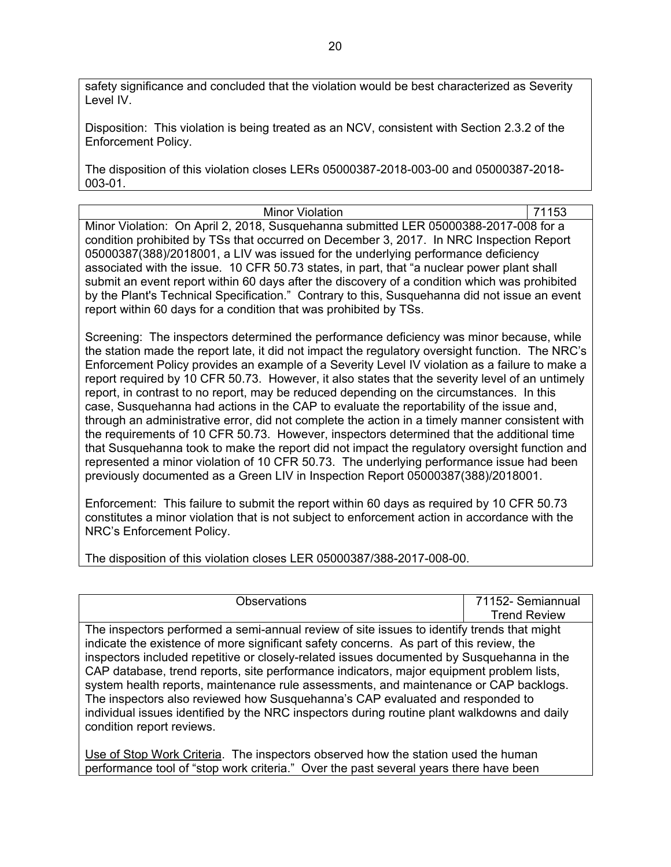safety significance and concluded that the violation would be best characterized as Severity Level IV.

Disposition: This violation is being treated as an NCV, consistent with Section 2.3.2 of the Enforcement Policy.

The disposition of this violation closes LERs 05000387-2018-003-00 and 05000387-2018- 003-01.

Minor Violation **71153** Minor Violation: On April 2, 2018, Susquehanna submitted LER 05000388-2017-008 for a condition prohibited by TSs that occurred on December 3, 2017. In NRC Inspection Report 05000387(388)/2018001, a LIV was issued for the underlying performance deficiency associated with the issue. 10 CFR 50.73 states, in part, that "a nuclear power plant shall submit an event report within 60 days after the discovery of a condition which was prohibited by the Plant's Technical Specification." Contrary to this, Susquehanna did not issue an event report within 60 days for a condition that was prohibited by TSs.

Screening: The inspectors determined the performance deficiency was minor because, while the station made the report late, it did not impact the regulatory oversight function. The NRC's Enforcement Policy provides an example of a Severity Level IV violation as a failure to make a report required by 10 CFR 50.73. However, it also states that the severity level of an untimely report, in contrast to no report, may be reduced depending on the circumstances. In this case, Susquehanna had actions in the CAP to evaluate the reportability of the issue and, through an administrative error, did not complete the action in a timely manner consistent with the requirements of 10 CFR 50.73. However, inspectors determined that the additional time that Susquehanna took to make the report did not impact the regulatory oversight function and represented a minor violation of 10 CFR 50.73. The underlying performance issue had been previously documented as a Green LIV in Inspection Report 05000387(388)/2018001.

Enforcement: This failure to submit the report within 60 days as required by 10 CFR 50.73 constitutes a minor violation that is not subject to enforcement action in accordance with the NRC's Enforcement Policy.

The disposition of this violation closes LER 05000387/388-2017-008-00.

| <b>Observations</b>                                                                         | 71152- Semiannual   |  |
|---------------------------------------------------------------------------------------------|---------------------|--|
|                                                                                             | <b>Trend Review</b> |  |
| The inspectors performed a semi-annual review of site issues to identify trends that might  |                     |  |
| indicate the existence of more significant safety concerns. As part of this review, the     |                     |  |
| inspectors included repetitive or closely-related issues documented by Susquehanna in the   |                     |  |
| CAP database, trend reports, site performance indicators, major equipment problem lists,    |                     |  |
| system health reports, maintenance rule assessments, and maintenance or CAP backlogs.       |                     |  |
| The inspectors also reviewed how Susquehanna's CAP evaluated and responded to               |                     |  |
| individual issues identified by the NRC inspectors during routine plant walkdowns and daily |                     |  |
| condition report reviews.                                                                   |                     |  |
|                                                                                             |                     |  |

Use of Stop Work Criteria. The inspectors observed how the station used the human performance tool of "stop work criteria." Over the past several years there have been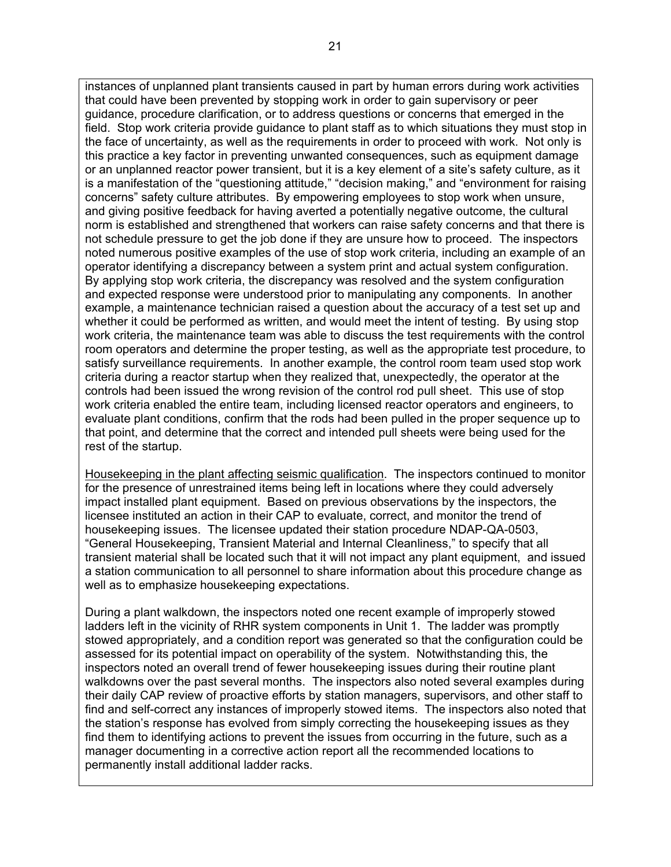instances of unplanned plant transients caused in part by human errors during work activities that could have been prevented by stopping work in order to gain supervisory or peer guidance, procedure clarification, or to address questions or concerns that emerged in the field. Stop work criteria provide guidance to plant staff as to which situations they must stop in the face of uncertainty, as well as the requirements in order to proceed with work. Not only is this practice a key factor in preventing unwanted consequences, such as equipment damage or an unplanned reactor power transient, but it is a key element of a site's safety culture, as it is a manifestation of the "questioning attitude," "decision making," and "environment for raising concerns" safety culture attributes. By empowering employees to stop work when unsure, and giving positive feedback for having averted a potentially negative outcome, the cultural norm is established and strengthened that workers can raise safety concerns and that there is not schedule pressure to get the job done if they are unsure how to proceed. The inspectors noted numerous positive examples of the use of stop work criteria, including an example of an operator identifying a discrepancy between a system print and actual system configuration. By applying stop work criteria, the discrepancy was resolved and the system configuration and expected response were understood prior to manipulating any components. In another example, a maintenance technician raised a question about the accuracy of a test set up and whether it could be performed as written, and would meet the intent of testing. By using stop work criteria, the maintenance team was able to discuss the test requirements with the control room operators and determine the proper testing, as well as the appropriate test procedure, to satisfy surveillance requirements. In another example, the control room team used stop work criteria during a reactor startup when they realized that, unexpectedly, the operator at the controls had been issued the wrong revision of the control rod pull sheet. This use of stop work criteria enabled the entire team, including licensed reactor operators and engineers, to evaluate plant conditions, confirm that the rods had been pulled in the proper sequence up to that point, and determine that the correct and intended pull sheets were being used for the rest of the startup.

Housekeeping in the plant affecting seismic qualification. The inspectors continued to monitor for the presence of unrestrained items being left in locations where they could adversely impact installed plant equipment. Based on previous observations by the inspectors, the licensee instituted an action in their CAP to evaluate, correct, and monitor the trend of housekeeping issues. The licensee updated their station procedure NDAP-QA-0503, "General Housekeeping, Transient Material and Internal Cleanliness," to specify that all transient material shall be located such that it will not impact any plant equipment, and issued a station communication to all personnel to share information about this procedure change as well as to emphasize housekeeping expectations.

During a plant walkdown, the inspectors noted one recent example of improperly stowed ladders left in the vicinity of RHR system components in Unit 1. The ladder was promptly stowed appropriately, and a condition report was generated so that the configuration could be assessed for its potential impact on operability of the system. Notwithstanding this, the inspectors noted an overall trend of fewer housekeeping issues during their routine plant walkdowns over the past several months. The inspectors also noted several examples during their daily CAP review of proactive efforts by station managers, supervisors, and other staff to find and self-correct any instances of improperly stowed items. The inspectors also noted that the station's response has evolved from simply correcting the housekeeping issues as they find them to identifying actions to prevent the issues from occurring in the future, such as a manager documenting in a corrective action report all the recommended locations to permanently install additional ladder racks.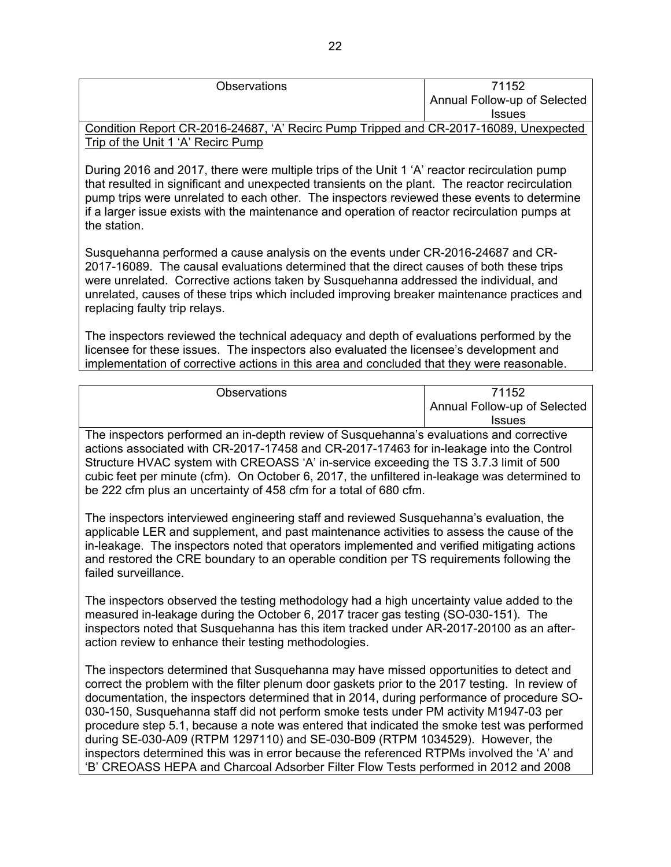| <b>Observations</b>                                                                   | 71152                        |
|---------------------------------------------------------------------------------------|------------------------------|
|                                                                                       | Annual Follow-up of Selected |
|                                                                                       | <b>Issues</b>                |
| Condition Report CR-2016-24687, 'A' Recirc Pump Tripped and CR-2017-16089, Unexpected |                              |
| Trip of the Unit 1 'A' Recirc Pump                                                    |                              |

During 2016 and 2017, there were multiple trips of the Unit 1 'A' reactor recirculation pump that resulted in significant and unexpected transients on the plant. The reactor recirculation pump trips were unrelated to each other. The inspectors reviewed these events to determine if a larger issue exists with the maintenance and operation of reactor recirculation pumps at the station.

Susquehanna performed a cause analysis on the events under CR-2016-24687 and CR-2017-16089. The causal evaluations determined that the direct causes of both these trips were unrelated. Corrective actions taken by Susquehanna addressed the individual, and unrelated, causes of these trips which included improving breaker maintenance practices and replacing faulty trip relays.

The inspectors reviewed the technical adequacy and depth of evaluations performed by the licensee for these issues. The inspectors also evaluated the licensee's development and implementation of corrective actions in this area and concluded that they were reasonable.

| <b>Observations</b>                                                                     | 71152                        |
|-----------------------------------------------------------------------------------------|------------------------------|
|                                                                                         | Annual Follow-up of Selected |
|                                                                                         | <b>Issues</b>                |
| The increators performed an in denth review of Susquebanna's evaluations and corrective |                              |

The inspectors performed an in-depth review of Susquehanna's evaluations and corrective actions associated with CR-2017-17458 and CR-2017-17463 for in-leakage into the Control Structure HVAC system with CREOASS 'A' in-service exceeding the TS 3.7.3 limit of 500 cubic feet per minute (cfm). On October 6, 2017, the unfiltered in-leakage was determined to be 222 cfm plus an uncertainty of 458 cfm for a total of 680 cfm.

The inspectors interviewed engineering staff and reviewed Susquehanna's evaluation, the applicable LER and supplement, and past maintenance activities to assess the cause of the in-leakage. The inspectors noted that operators implemented and verified mitigating actions and restored the CRE boundary to an operable condition per TS requirements following the failed surveillance.

The inspectors observed the testing methodology had a high uncertainty value added to the measured in-leakage during the October 6, 2017 tracer gas testing (SO-030-151). The inspectors noted that Susquehanna has this item tracked under AR-2017-20100 as an afteraction review to enhance their testing methodologies.

The inspectors determined that Susquehanna may have missed opportunities to detect and correct the problem with the filter plenum door gaskets prior to the 2017 testing. In review of documentation, the inspectors determined that in 2014, during performance of procedure SO-030-150, Susquehanna staff did not perform smoke tests under PM activity M1947-03 per procedure step 5.1, because a note was entered that indicated the smoke test was performed during SE-030-A09 (RTPM 1297110) and SE-030-B09 (RTPM 1034529). However, the inspectors determined this was in error because the referenced RTPMs involved the 'A' and 'B' CREOASS HEPA and Charcoal Adsorber Filter Flow Tests performed in 2012 and 2008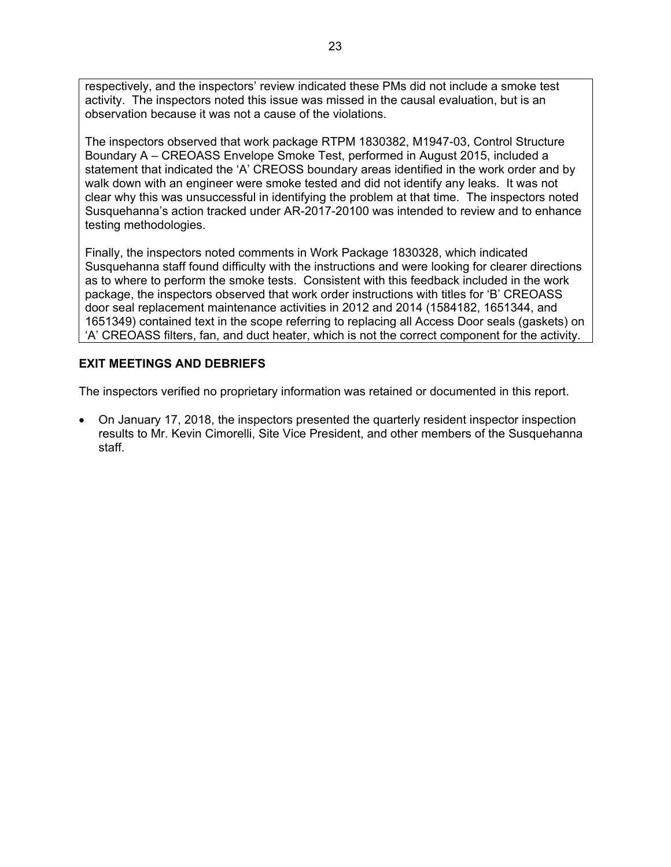respectively, and the inspectors' review indicated these PMs did not include a smoke test activity. The inspectors noted this issue was missed in the causal evaluation, but is an observation because it was not a cause of the violations.

The inspectors observed that work package RTPM 1830382, M1947-03, Control Structure Boundary A – CREOASS Envelope Smoke Test, performed in August 2015, included a statement that indicated the 'A' CREOSS boundary areas identified in the work order and by walk down with an engineer were smoke tested and did not identify any leaks. It was not clear why this was unsuccessful in identifying the problem at that time. The inspectors noted Susquehanna's action tracked under AR-2017-20100 was intended to review and to enhance testing methodologies.

Finally, the inspectors noted comments in Work Package 1830328, which indicated Susquehanna staff found difficulty with the instructions and were looking for clearer directions as to where to perform the smoke tests. Consistent with this feedback included in the work package, the inspectors observed that work order instructions with titles for 'B' CREOASS door seal replacement maintenance activities in 2012 and 2014 (1584182, 1651344, and 1651349) contained text in the scope referring to replacing all Access Door seals (gaskets) on 'A' CREOASS filters, fan, and duct heater, which is not the correct component for the activity.

# **EXIT MEETINGS AND DEBRIEFS**

The inspectors verified no proprietary information was retained or documented in this report.

 On January 17, 2018, the inspectors presented the quarterly resident inspector inspection results to Mr. Kevin Cimorelli, Site Vice President, and other members of the Susquehanna staff.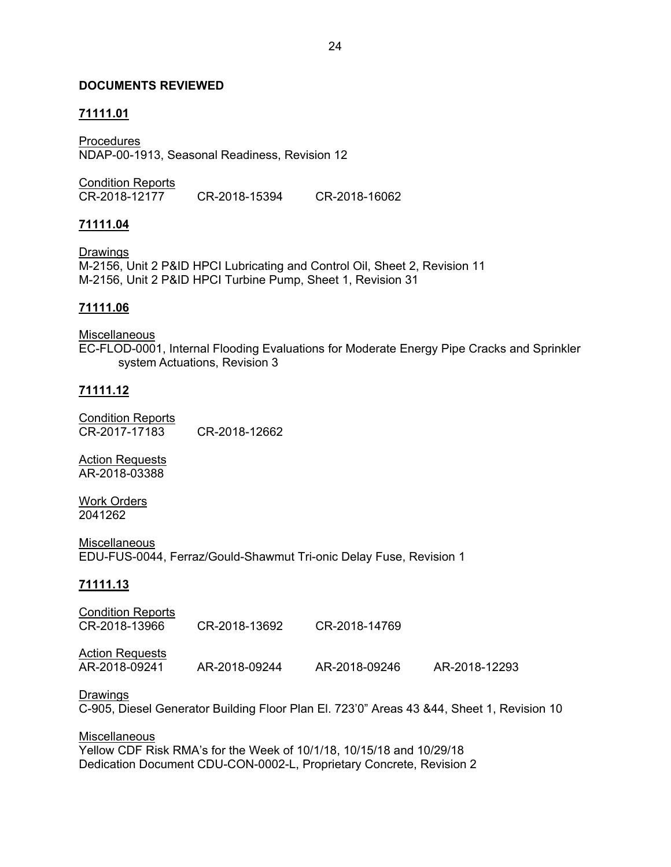## **DOCUMENTS REVIEWED**

# **71111.01**

Procedures NDAP-00-1913, Seasonal Readiness, Revision 12

Condition Reports<br>CR-2018-12177 CR-2018-12177 CR-2018-15394 CR-2018-16062

### **71111.04**

Drawings M-2156, Unit 2 P&ID HPCI Lubricating and Control Oil, Sheet 2, Revision 11 M-2156, Unit 2 P&ID HPCI Turbine Pump, Sheet 1, Revision 31

## **71111.06**

**Miscellaneous** EC-FLOD-0001, Internal Flooding Evaluations for Moderate Energy Pipe Cracks and Sprinkler system Actuations, Revision 3

### **71111.12**

Condition Reports CR-2017-17183 CR-2018-12662

Action Requests AR-2018-03388

Work Orders 2041262

**Miscellaneous** EDU-FUS-0044, Ferraz/Gould-Shawmut Tri-onic Delay Fuse, Revision 1

#### **71111.13**

Condition Reports CR-2018-13966 CR-2018-13692 CR-2018-14769

Action Requests<br>AR-2018-09241

AR-2018-09241 AR-2018-09244 AR-2018-09246 AR-2018-12293

#### Drawings

C-905, Diesel Generator Building Floor Plan El. 723'0" Areas 43 &44, Sheet 1, Revision 10

**Miscellaneous** Yellow CDF Risk RMA's for the Week of 10/1/18, 10/15/18 and 10/29/18 Dedication Document CDU-CON-0002-L, Proprietary Concrete, Revision 2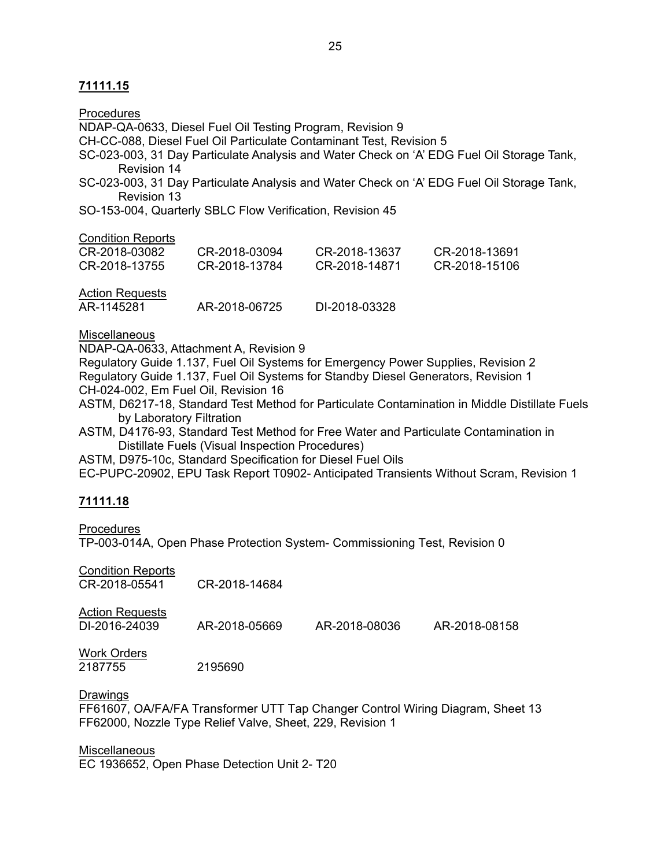| Procedures                                                                         |                                                                                           |                                                                     |                                                                                               |  |  |  |
|------------------------------------------------------------------------------------|-------------------------------------------------------------------------------------------|---------------------------------------------------------------------|-----------------------------------------------------------------------------------------------|--|--|--|
| NDAP-QA-0633, Diesel Fuel Oil Testing Program, Revision 9                          |                                                                                           |                                                                     |                                                                                               |  |  |  |
|                                                                                    |                                                                                           | CH-CC-088, Diesel Fuel Oil Particulate Contaminant Test, Revision 5 |                                                                                               |  |  |  |
| <b>Revision 14</b>                                                                 | SC-023-003, 31 Day Particulate Analysis and Water Check on 'A' EDG Fuel Oil Storage Tank, |                                                                     |                                                                                               |  |  |  |
| Revision 13                                                                        |                                                                                           |                                                                     | SC-023-003, 31 Day Particulate Analysis and Water Check on 'A' EDG Fuel Oil Storage Tank,     |  |  |  |
|                                                                                    | SO-153-004, Quarterly SBLC Flow Verification, Revision 45                                 |                                                                     |                                                                                               |  |  |  |
| <b>Condition Reports</b>                                                           |                                                                                           |                                                                     |                                                                                               |  |  |  |
| CR-2018-03082                                                                      | CR-2018-03094                                                                             | CR-2018-13637                                                       | CR-2018-13691                                                                                 |  |  |  |
| CR-2018-13755                                                                      | CR-2018-13784                                                                             | CR-2018-14871                                                       | CR-2018-15106                                                                                 |  |  |  |
| <b>Action Requests</b>                                                             |                                                                                           |                                                                     |                                                                                               |  |  |  |
| AR-1145281                                                                         | AR-2018-06725                                                                             | DI-2018-03328                                                       |                                                                                               |  |  |  |
| <b>Miscellaneous</b>                                                               |                                                                                           |                                                                     |                                                                                               |  |  |  |
|                                                                                    | NDAP-QA-0633, Attachment A, Revision 9                                                    |                                                                     |                                                                                               |  |  |  |
| Regulatory Guide 1.137, Fuel Oil Systems for Emergency Power Supplies, Revision 2  |                                                                                           |                                                                     |                                                                                               |  |  |  |
| Regulatory Guide 1.137, Fuel Oil Systems for Standby Diesel Generators, Revision 1 |                                                                                           |                                                                     |                                                                                               |  |  |  |
| CH-024-002, Em Fuel Oil, Revision 16                                               |                                                                                           |                                                                     |                                                                                               |  |  |  |
| by Laboratory Filtration                                                           |                                                                                           |                                                                     | ASTM, D6217-18, Standard Test Method for Particulate Contamination in Middle Distillate Fuels |  |  |  |
|                                                                                    |                                                                                           |                                                                     |                                                                                               |  |  |  |

ASTM, D4176-93, Standard Test Method for Free Water and Particulate Contamination in Distillate Fuels (Visual Inspection Procedures)

ASTM, D975-10c, Standard Specification for Diesel Fuel Oils

EC-PUPC-20902, EPU Task Report T0902- Anticipated Transients Without Scram, Revision 1

# **71111.18**

**Procedures** TP-003-014A, Open Phase Protection System- Commissioning Test, Revision 0

| <b>Condition Reports</b><br>CR-2018-05541 | CR-2018-14684 |               |               |
|-------------------------------------------|---------------|---------------|---------------|
| <b>Action Requests</b><br>DI-2016-24039   | AR-2018-05669 | AR-2018-08036 | AR-2018-08158 |
| <b>Work Orders</b><br>2187755             | 2195690       |               |               |

**Drawings** 

FF61607, OA/FA/FA Transformer UTT Tap Changer Control Wiring Diagram, Sheet 13 FF62000, Nozzle Type Relief Valve, Sheet, 229, Revision 1

### **Miscellaneous**

EC 1936652, Open Phase Detection Unit 2- T20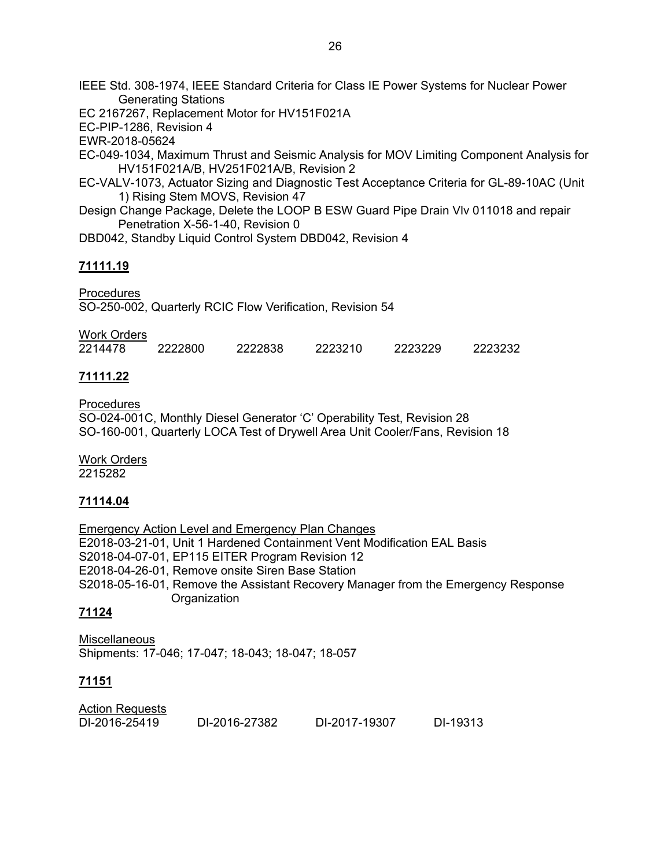IEEE Std. 308-1974, IEEE Standard Criteria for Class IE Power Systems for Nuclear Power Generating Stations

EC 2167267, Replacement Motor for HV151F021A

EC-PIP-1286, Revision 4

EWR-2018-05624

EC-049-1034, Maximum Thrust and Seismic Analysis for MOV Limiting Component Analysis for HV151F021A/B, HV251F021A/B, Revision 2

- EC-VALV-1073, Actuator Sizing and Diagnostic Test Acceptance Criteria for GL-89-10AC (Unit 1) Rising Stem MOVS, Revision 47
- Design Change Package, Delete the LOOP B ESW Guard Pipe Drain Vlv 011018 and repair Penetration X-56-1-40, Revision 0

DBD042, Standby Liquid Control System DBD042, Revision 4

# **71111.19**

Procedures SO-250-002, Quarterly RCIC Flow Verification, Revision 54

| Work Orders |         |         |         |         |         |
|-------------|---------|---------|---------|---------|---------|
| 2214478     | 2222800 | 2222838 | 2223210 | 2223229 | 2223232 |

# **71111.22**

Procedures SO-024-001C, Monthly Diesel Generator 'C' Operability Test, Revision 28 SO-160-001, Quarterly LOCA Test of Drywell Area Unit Cooler/Fans, Revision 18

Work Orders 2215282

# **71114.04**

Emergency Action Level and Emergency Plan Changes E2018-03-21-01, Unit 1 Hardened Containment Vent Modification EAL Basis S2018-04-07-01, EP115 EITER Program Revision 12 E2018-04-26-01, Remove onsite Siren Base Station S2018-05-16-01, Remove the Assistant Recovery Manager from the Emergency Response **Organization** 

# **71124**

**Miscellaneous** Shipments: 17-046; 17-047; 18-043; 18-047; 18-057

# **71151**

| <b>Action Requests</b> |               |               |          |
|------------------------|---------------|---------------|----------|
| DI-2016-25419          | DI-2016-27382 | DI-2017-19307 | DI-19313 |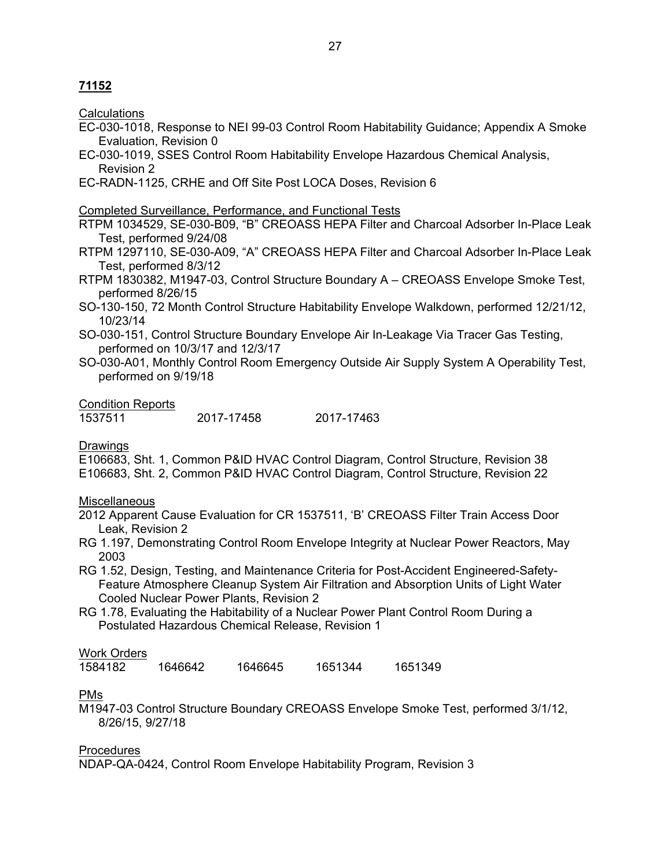# **71152**

**Calculations** 

EC-030-1018, Response to NEI 99-03 Control Room Habitability Guidance; Appendix A Smoke Evaluation, Revision 0

27

- EC-030-1019, SSES Control Room Habitability Envelope Hazardous Chemical Analysis, Revision 2
- EC-RADN-1125, CRHE and Off Site Post LOCA Doses, Revision 6

#### Completed Surveillance, Performance, and Functional Tests

RTPM 1034529, SE-030-B09, "B" CREOASS HEPA Filter and Charcoal Adsorber In-Place Leak Test, performed 9/24/08

- RTPM 1297110, SE-030-A09, "A" CREOASS HEPA Filter and Charcoal Adsorber In-Place Leak Test, performed 8/3/12
- RTPM 1830382, M1947-03, Control Structure Boundary A CREOASS Envelope Smoke Test, performed 8/26/15
- SO-130-150, 72 Month Control Structure Habitability Envelope Walkdown, performed 12/21/12, 10/23/14
- SO-030-151, Control Structure Boundary Envelope Air In-Leakage Via Tracer Gas Testing, performed on 10/3/17 and 12/3/17
- SO-030-A01, Monthly Control Room Emergency Outside Air Supply System A Operability Test, performed on 9/19/18

Condition Reports

| 1537511 | 2017-17458 | 2017-17463 |
|---------|------------|------------|
|         |            |            |

#### Drawings

E106683, Sht. 1, Common P&ID HVAC Control Diagram, Control Structure, Revision 38 E106683, Sht. 2, Common P&ID HVAC Control Diagram, Control Structure, Revision 22

#### **Miscellaneous**

- 2012 Apparent Cause Evaluation for CR 1537511, 'B' CREOASS Filter Train Access Door Leak, Revision 2
- RG 1.197, Demonstrating Control Room Envelope Integrity at Nuclear Power Reactors, May 2003
- RG 1.52, Design, Testing, and Maintenance Criteria for Post-Accident Engineered-Safety-Feature Atmosphere Cleanup System Air Filtration and Absorption Units of Light Water Cooled Nuclear Power Plants, Revision 2
- RG 1.78, Evaluating the Habitability of a Nuclear Power Plant Control Room During a Postulated Hazardous Chemical Release, Revision 1

### Work Orders

1584182 1646642 1646645 1651344 1651349

#### PMs

M1947-03 Control Structure Boundary CREOASS Envelope Smoke Test, performed 3/1/12, 8/26/15, 9/27/18

#### Procedures

NDAP-QA-0424, Control Room Envelope Habitability Program, Revision 3